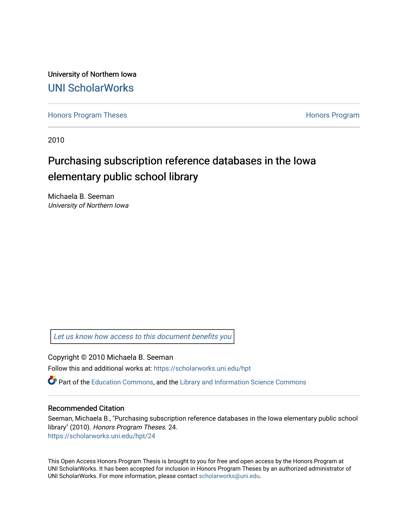University of Northern Iowa [UNI ScholarWorks](https://scholarworks.uni.edu/) 

[Honors Program Theses](https://scholarworks.uni.edu/hpt) **Honors Program** Honors Program

2010

# Purchasing subscription reference databases in the Iowa elementary public school library

Michaela B. Seeman University of Northern Iowa

[Let us know how access to this document benefits you](https://scholarworks.uni.edu/feedback_form.html) 

Copyright © 2010 Michaela B. Seeman

Follow this and additional works at: [https://scholarworks.uni.edu/hpt](https://scholarworks.uni.edu/hpt?utm_source=scholarworks.uni.edu%2Fhpt%2F24&utm_medium=PDF&utm_campaign=PDFCoverPages) 

 $\bullet$  Part of the [Education Commons](http://network.bepress.com/hgg/discipline/784?utm_source=scholarworks.uni.edu%2Fhpt%2F24&utm_medium=PDF&utm_campaign=PDFCoverPages), and the Library and Information Science Commons

# Recommended Citation

Seeman, Michaela B., "Purchasing subscription reference databases in the Iowa elementary public school library" (2010). Honors Program Theses. 24. [https://scholarworks.uni.edu/hpt/24](https://scholarworks.uni.edu/hpt/24?utm_source=scholarworks.uni.edu%2Fhpt%2F24&utm_medium=PDF&utm_campaign=PDFCoverPages)

This Open Access Honors Program Thesis is brought to you for free and open access by the Honors Program at UNI ScholarWorks. It has been accepted for inclusion in Honors Program Theses by an authorized administrator of UNI ScholarWorks. For more information, please contact [scholarworks@uni.edu.](mailto:scholarworks@uni.edu)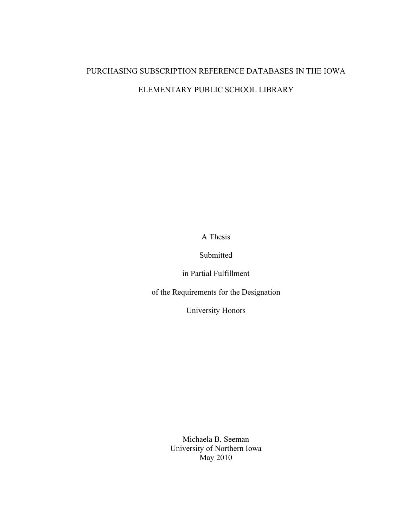# PURCHASING SUBSCRIPTION REFERENCE DATABASES IN THE IOWA ELEMENTARY PUBLIC SCHOOL LIBRARY

A Thesis

Submitted

in Partial Fulfillment

of the Requirements for the Designation

University Honors

Michaela B. Seeman University of Northern Iowa May 2010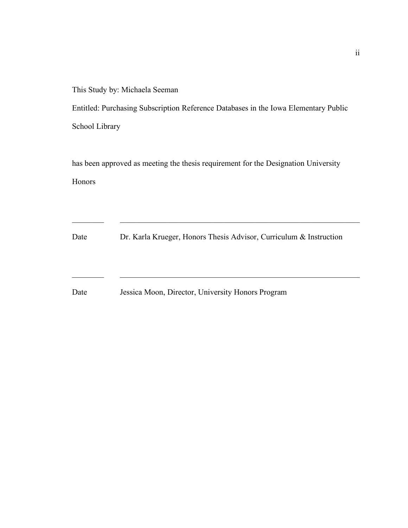This Study by: Michaela Seeman

Entitled: Purchasing Subscription Reference Databases in the Iowa Elementary Public School Library

has been approved as meeting the thesis requirement for the Designation University Honors

Date Dr. Karla Krueger, Honors Thesis Advisor, Curriculum & Instruction

 $\_$  , and the contribution of the contribution of  $\mathcal{L}_\mathcal{A}$  , and the contribution of  $\mathcal{L}_\mathcal{A}$ 

 $\_$  , and the contribution of the contribution of  $\mathcal{L}_\mathcal{A}$  , and the contribution of  $\mathcal{L}_\mathcal{A}$ 

Date Jessica Moon, Director, University Honors Program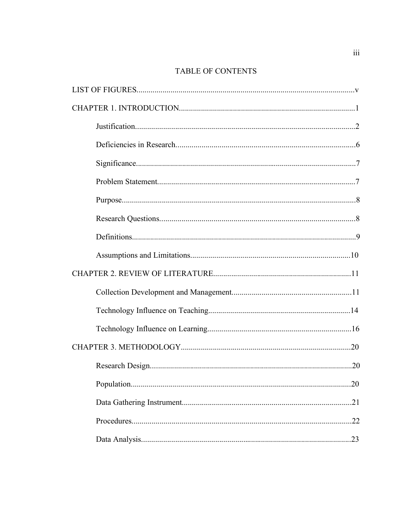# TABLE OF CONTENTS

| .20 |
|-----|
| .21 |
| .22 |
|     |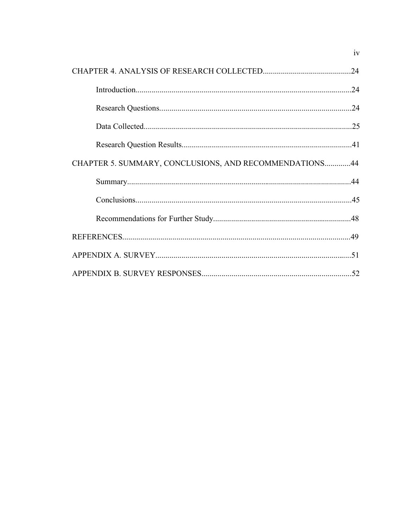|                                                        | iv  |
|--------------------------------------------------------|-----|
|                                                        | .24 |
|                                                        |     |
|                                                        |     |
|                                                        |     |
|                                                        |     |
| CHAPTER 5. SUMMARY, CONCLUSIONS, AND RECOMMENDATIONS44 |     |
|                                                        |     |
|                                                        |     |
|                                                        |     |
|                                                        |     |
|                                                        |     |
|                                                        |     |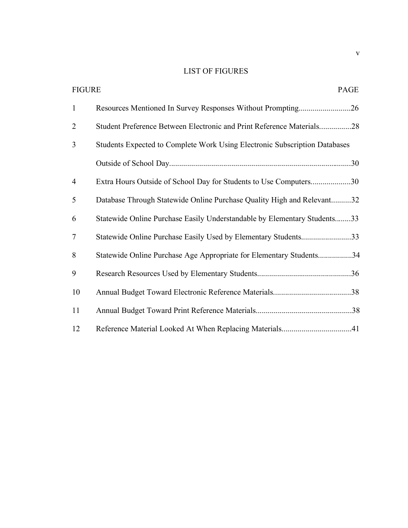# LIST OF FIGURES

| <b>FIGURE</b>  | PAGE                                                                       |
|----------------|----------------------------------------------------------------------------|
| $\mathbf{1}$   |                                                                            |
| $\overline{2}$ | Student Preference Between Electronic and Print Reference Materials28      |
| 3              | Students Expected to Complete Work Using Electronic Subscription Databases |
|                |                                                                            |
| $\overline{4}$ | Extra Hours Outside of School Day for Students to Use Computers30          |
| 5              | Database Through Statewide Online Purchase Quality High and Relevant32     |
| 6              | Statewide Online Purchase Easily Understandable by Elementary Students33   |
| $\tau$         | Statewide Online Purchase Easily Used by Elementary Students33             |
| 8              | Statewide Online Purchase Age Appropriate for Elementary Students34        |
| 9              |                                                                            |
| 10             |                                                                            |
| 11             |                                                                            |
| 12             | Reference Material Looked At When Replacing Materials41                    |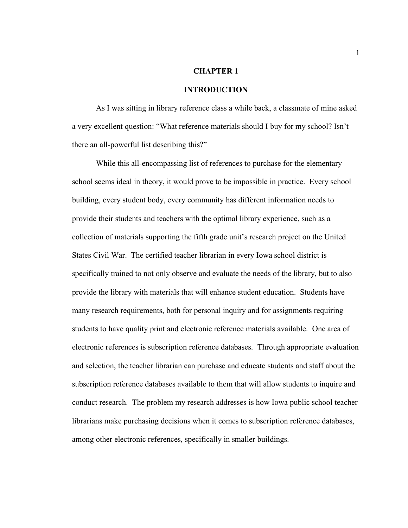#### **CHAPTER 1**

#### **INTRODUCTION**

As I was sitting in library reference class a while back, a classmate of mine asked a very excellent question: "What reference materials should I buy for my school? Isn't there an all-powerful list describing this?"

While this all-encompassing list of references to purchase for the elementary school seems ideal in theory, it would prove to be impossible in practice. Every school building, every student body, every community has different information needs to provide their students and teachers with the optimal library experience, such as a collection of materials supporting the fifth grade unit's research project on the United States Civil War. The certified teacher librarian in every Iowa school district is specifically trained to not only observe and evaluate the needs of the library, but to also provide the library with materials that will enhance student education. Students have many research requirements, both for personal inquiry and for assignments requiring students to have quality print and electronic reference materials available. One area of electronic references is subscription reference databases. Through appropriate evaluation and selection, the teacher librarian can purchase and educate students and staff about the subscription reference databases available to them that will allow students to inquire and conduct research. The problem my research addresses is how Iowa public school teacher librarians make purchasing decisions when it comes to subscription reference databases, among other electronic references, specifically in smaller buildings.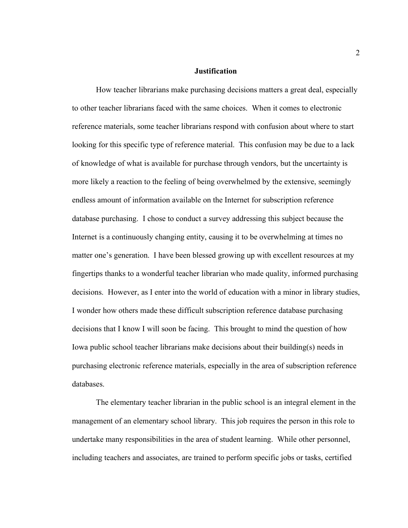### **Justification**

How teacher librarians make purchasing decisions matters a great deal, especially to other teacher librarians faced with the same choices. When it comes to electronic reference materials, some teacher librarians respond with confusion about where to start looking for this specific type of reference material. This confusion may be due to a lack of knowledge of what is available for purchase through vendors, but the uncertainty is more likely a reaction to the feeling of being overwhelmed by the extensive, seemingly endless amount of information available on the Internet for subscription reference database purchasing. I chose to conduct a survey addressing this subject because the Internet is a continuously changing entity, causing it to be overwhelming at times no matter one's generation. I have been blessed growing up with excellent resources at my fingertips thanks to a wonderful teacher librarian who made quality, informed purchasing decisions. However, as I enter into the world of education with a minor in library studies, I wonder how others made these difficult subscription reference database purchasing decisions that I know I will soon be facing. This brought to mind the question of how Iowa public school teacher librarians make decisions about their building(s) needs in purchasing electronic reference materials, especially in the area of subscription reference databases.

The elementary teacher librarian in the public school is an integral element in the management of an elementary school library. This job requires the person in this role to undertake many responsibilities in the area of student learning. While other personnel, including teachers and associates, are trained to perform specific jobs or tasks, certified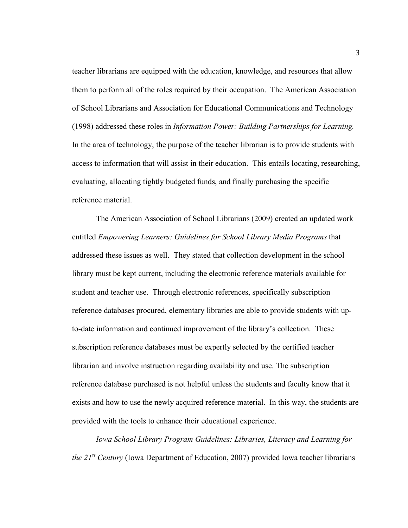teacher librarians are equipped with the education, knowledge, and resources that allow them to perform all of the roles required by their occupation. The American Association of School Librarians and Association for Educational Communications and Technology (1998) addressed these roles in *Information Power: Building Partnerships for Learning.*  In the area of technology, the purpose of the teacher librarian is to provide students with access to information that will assist in their education. This entails locating, researching, evaluating, allocating tightly budgeted funds, and finally purchasing the specific reference material.

The American Association of School Librarians (2009) created an updated work entitled *Empowering Learners: Guidelines for School Library Media Programs* that addressed these issues as well. They stated that collection development in the school library must be kept current, including the electronic reference materials available for student and teacher use. Through electronic references, specifically subscription reference databases procured, elementary libraries are able to provide students with upto-date information and continued improvement of the library's collection. These subscription reference databases must be expertly selected by the certified teacher librarian and involve instruction regarding availability and use. The subscription reference database purchased is not helpful unless the students and faculty know that it exists and how to use the newly acquired reference material. In this way, the students are provided with the tools to enhance their educational experience.

*Iowa School Library Program Guidelines: Libraries, Literacy and Learning for the 21st Century* (Iowa Department of Education, 2007) provided Iowa teacher librarians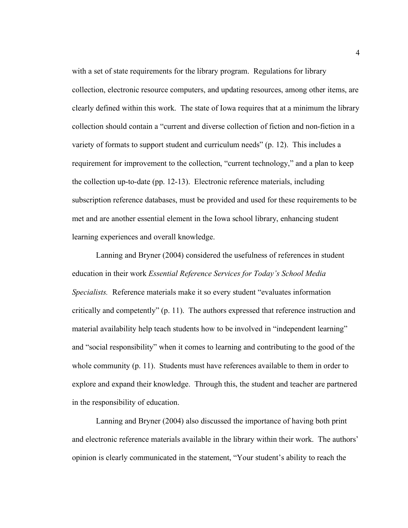with a set of state requirements for the library program. Regulations for library collection, electronic resource computers, and updating resources, among other items, are clearly defined within this work. The state of Iowa requires that at a minimum the library collection should contain a "current and diverse collection of fiction and non-fiction in a variety of formats to support student and curriculum needs" (p. 12). This includes a requirement for improvement to the collection, "current technology," and a plan to keep the collection up-to-date (pp. 12-13). Electronic reference materials, including subscription reference databases, must be provided and used for these requirements to be met and are another essential element in the Iowa school library, enhancing student learning experiences and overall knowledge.

Lanning and Bryner (2004) considered the usefulness of references in student education in their work *Essential Reference Services for Today's School Media Specialists.* Reference materials make it so every student "evaluates information critically and competently" (p. 11). The authors expressed that reference instruction and material availability help teach students how to be involved in "independent learning" and "social responsibility" when it comes to learning and contributing to the good of the whole community (p. 11). Students must have references available to them in order to explore and expand their knowledge. Through this, the student and teacher are partnered in the responsibility of education.

Lanning and Bryner (2004) also discussed the importance of having both print and electronic reference materials available in the library within their work. The authors' opinion is clearly communicated in the statement, "Your student's ability to reach the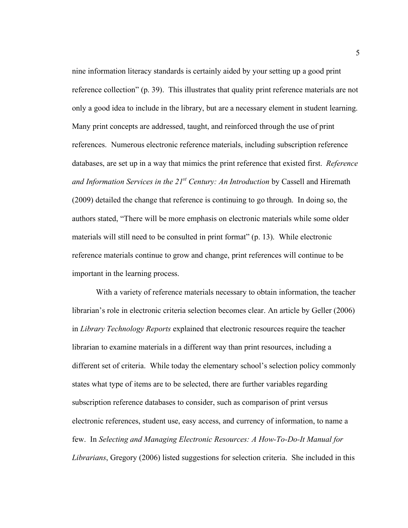nine information literacy standards is certainly aided by your setting up a good print reference collection" (p. 39). This illustrates that quality print reference materials are not only a good idea to include in the library, but are a necessary element in student learning. Many print concepts are addressed, taught, and reinforced through the use of print references. Numerous electronic reference materials, including subscription reference databases, are set up in a way that mimics the print reference that existed first. *Reference and Information Services in the 21<sup>st</sup> Century: An Introduction* by Cassell and Hiremath (2009) detailed the change that reference is continuing to go through. In doing so, the authors stated, "There will be more emphasis on electronic materials while some older materials will still need to be consulted in print format" (p. 13). While electronic reference materials continue to grow and change, print references will continue to be important in the learning process.

With a variety of reference materials necessary to obtain information, the teacher librarian's role in electronic criteria selection becomes clear. An article by Geller (2006) in *Library Technology Reports* explained that electronic resources require the teacher librarian to examine materials in a different way than print resources, including a different set of criteria. While today the elementary school's selection policy commonly states what type of items are to be selected, there are further variables regarding subscription reference databases to consider, such as comparison of print versus electronic references, student use, easy access, and currency of information, to name a few. In *Selecting and Managing Electronic Resources: A How-To-Do-It Manual for Librarians*, Gregory (2006) listed suggestions for selection criteria. She included in this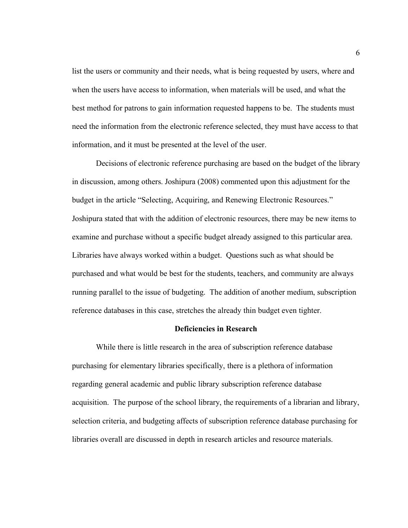list the users or community and their needs, what is being requested by users, where and when the users have access to information, when materials will be used, and what the best method for patrons to gain information requested happens to be. The students must need the information from the electronic reference selected, they must have access to that information, and it must be presented at the level of the user.

Decisions of electronic reference purchasing are based on the budget of the library in discussion, among others. Joshipura (2008) commented upon this adjustment for the budget in the article "Selecting, Acquiring, and Renewing Electronic Resources." Joshipura stated that with the addition of electronic resources, there may be new items to examine and purchase without a specific budget already assigned to this particular area. Libraries have always worked within a budget. Questions such as what should be purchased and what would be best for the students, teachers, and community are always running parallel to the issue of budgeting. The addition of another medium, subscription reference databases in this case, stretches the already thin budget even tighter.

#### **Deficiencies in Research**

While there is little research in the area of subscription reference database purchasing for elementary libraries specifically, there is a plethora of information regarding general academic and public library subscription reference database acquisition. The purpose of the school library, the requirements of a librarian and library, selection criteria, and budgeting affects of subscription reference database purchasing for libraries overall are discussed in depth in research articles and resource materials.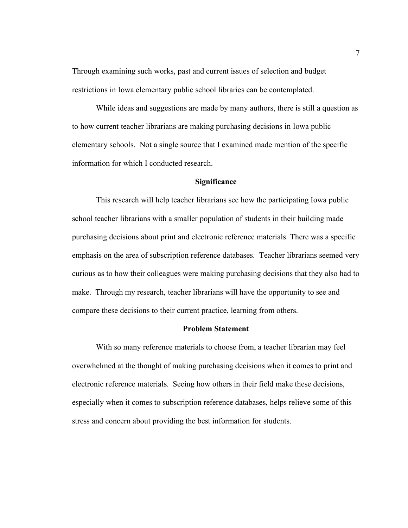Through examining such works, past and current issues of selection and budget restrictions in Iowa elementary public school libraries can be contemplated.

While ideas and suggestions are made by many authors, there is still a question as to how current teacher librarians are making purchasing decisions in Iowa public elementary schools. Not a single source that I examined made mention of the specific information for which I conducted research.

#### **Significance**

This research will help teacher librarians see how the participating Iowa public school teacher librarians with a smaller population of students in their building made purchasing decisions about print and electronic reference materials. There was a specific emphasis on the area of subscription reference databases. Teacher librarians seemed very curious as to how their colleagues were making purchasing decisions that they also had to make. Through my research, teacher librarians will have the opportunity to see and compare these decisions to their current practice, learning from others.

#### **Problem Statement**

With so many reference materials to choose from, a teacher librarian may feel overwhelmed at the thought of making purchasing decisions when it comes to print and electronic reference materials. Seeing how others in their field make these decisions, especially when it comes to subscription reference databases, helps relieve some of this stress and concern about providing the best information for students.

7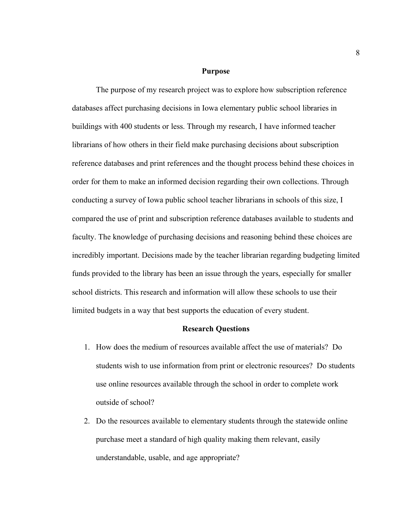#### **Purpose**

The purpose of my research project was to explore how subscription reference databases affect purchasing decisions in Iowa elementary public school libraries in buildings with 400 students or less. Through my research, I have informed teacher librarians of how others in their field make purchasing decisions about subscription reference databases and print references and the thought process behind these choices in order for them to make an informed decision regarding their own collections. Through conducting a survey of Iowa public school teacher librarians in schools of this size, I compared the use of print and subscription reference databases available to students and faculty. The knowledge of purchasing decisions and reasoning behind these choices are incredibly important. Decisions made by the teacher librarian regarding budgeting limited funds provided to the library has been an issue through the years, especially for smaller school districts. This research and information will allow these schools to use their limited budgets in a way that best supports the education of every student.

#### **Research Questions**

- 1. How does the medium of resources available affect the use of materials? Do students wish to use information from print or electronic resources? Do students use online resources available through the school in order to complete work outside of school?
- 2. Do the resources available to elementary students through the statewide online purchase meet a standard of high quality making them relevant, easily understandable, usable, and age appropriate?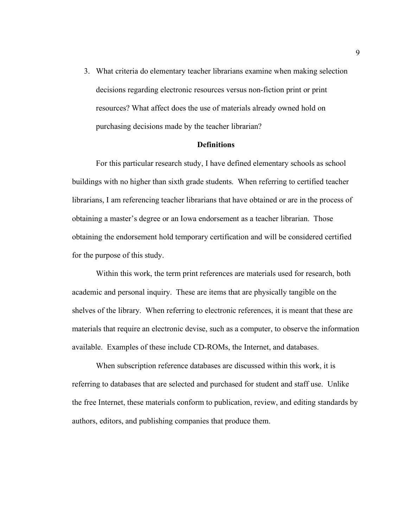3. What criteria do elementary teacher librarians examine when making selection decisions regarding electronic resources versus non-fiction print or print resources? What affect does the use of materials already owned hold on purchasing decisions made by the teacher librarian?

#### **Definitions**

For this particular research study, I have defined elementary schools as school buildings with no higher than sixth grade students. When referring to certified teacher librarians, I am referencing teacher librarians that have obtained or are in the process of obtaining a master's degree or an Iowa endorsement as a teacher librarian. Those obtaining the endorsement hold temporary certification and will be considered certified for the purpose of this study.

Within this work, the term print references are materials used for research, both academic and personal inquiry. These are items that are physically tangible on the shelves of the library. When referring to electronic references, it is meant that these are materials that require an electronic devise, such as a computer, to observe the information available. Examples of these include CD-ROMs, the Internet, and databases.

When subscription reference databases are discussed within this work, it is referring to databases that are selected and purchased for student and staff use. Unlike the free Internet, these materials conform to publication, review, and editing standards by authors, editors, and publishing companies that produce them.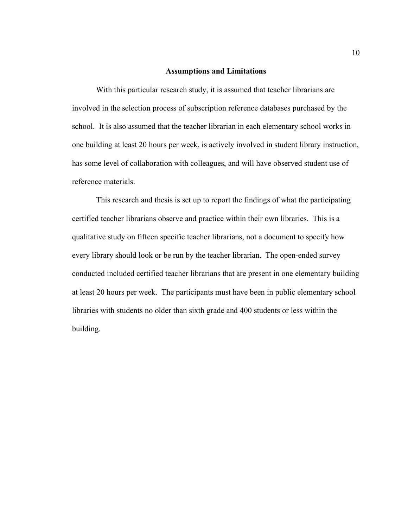#### **Assumptions and Limitations**

With this particular research study, it is assumed that teacher librarians are involved in the selection process of subscription reference databases purchased by the school. It is also assumed that the teacher librarian in each elementary school works in one building at least 20 hours per week, is actively involved in student library instruction, has some level of collaboration with colleagues, and will have observed student use of reference materials.

This research and thesis is set up to report the findings of what the participating certified teacher librarians observe and practice within their own libraries. This is a qualitative study on fifteen specific teacher librarians, not a document to specify how every library should look or be run by the teacher librarian. The open-ended survey conducted included certified teacher librarians that are present in one elementary building at least 20 hours per week. The participants must have been in public elementary school libraries with students no older than sixth grade and 400 students or less within the building.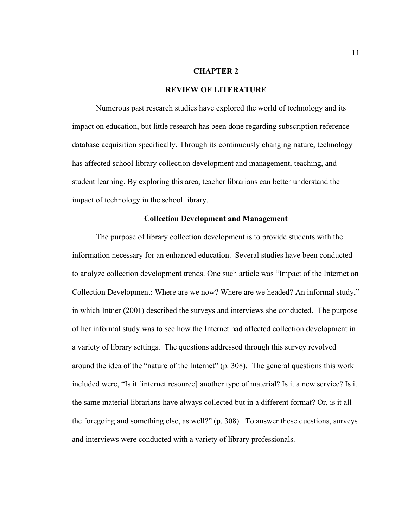#### **CHAPTER 2**

#### **REVIEW OF LITERATURE**

Numerous past research studies have explored the world of technology and its impact on education, but little research has been done regarding subscription reference database acquisition specifically. Through its continuously changing nature, technology has affected school library collection development and management, teaching, and student learning. By exploring this area, teacher librarians can better understand the impact of technology in the school library.

#### **Collection Development and Management**

The purpose of library collection development is to provide students with the information necessary for an enhanced education. Several studies have been conducted to analyze collection development trends. One such article was "Impact of the Internet on Collection Development: Where are we now? Where are we headed? An informal study," in which Intner (2001) described the surveys and interviews she conducted. The purpose of her informal study was to see how the Internet had affected collection development in a variety of library settings. The questions addressed through this survey revolved around the idea of the "nature of the Internet" (p. 308). The general questions this work included were, "Is it [internet resource] another type of material? Is it a new service? Is it the same material librarians have always collected but in a different format? Or, is it all the foregoing and something else, as well?" (p. 308). To answer these questions, surveys and interviews were conducted with a variety of library professionals.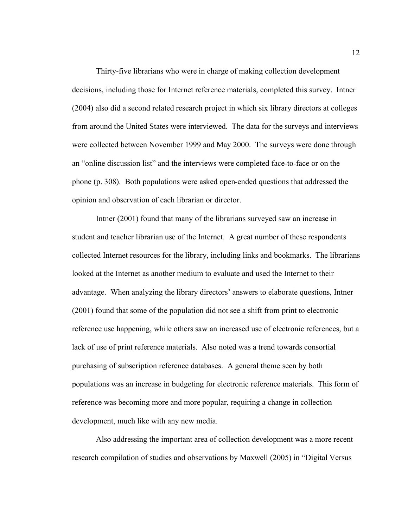Thirty-five librarians who were in charge of making collection development decisions, including those for Internet reference materials, completed this survey. Intner (2004) also did a second related research project in which six library directors at colleges from around the United States were interviewed. The data for the surveys and interviews were collected between November 1999 and May 2000. The surveys were done through an "online discussion list" and the interviews were completed face-to-face or on the phone (p. 308). Both populations were asked open-ended questions that addressed the opinion and observation of each librarian or director.

Intner (2001) found that many of the librarians surveyed saw an increase in student and teacher librarian use of the Internet. A great number of these respondents collected Internet resources for the library, including links and bookmarks. The librarians looked at the Internet as another medium to evaluate and used the Internet to their advantage. When analyzing the library directors' answers to elaborate questions, Intner (2001) found that some of the population did not see a shift from print to electronic reference use happening, while others saw an increased use of electronic references, but a lack of use of print reference materials. Also noted was a trend towards consortial purchasing of subscription reference databases. A general theme seen by both populations was an increase in budgeting for electronic reference materials. This form of reference was becoming more and more popular, requiring a change in collection development, much like with any new media.

Also addressing the important area of collection development was a more recent research compilation of studies and observations by Maxwell (2005) in "Digital Versus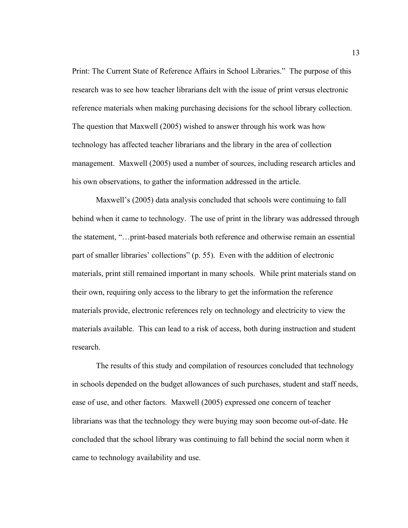Print: The Current State of Reference Affairs in School Libraries." The purpose of this research was to see how teacher librarians delt with the issue of print versus electronic reference materials when making purchasing decisions for the school library collection. The question that Maxwell (2005) wished to answer through his work was how technology has affected teacher librarians and the library in the area of collection management. Maxwell (2005) used a number of sources, including research articles and his own observations, to gather the information addressed in the article.

Maxwell's (2005) data analysis concluded that schools were continuing to fall behind when it came to technology. The use of print in the library was addressed through the statement, "…print-based materials both reference and otherwise remain an essential part of smaller libraries' collections" (p. 55). Even with the addition of electronic materials, print still remained important in many schools. While print materials stand on their own, requiring only access to the library to get the information the reference materials provide, electronic references rely on technology and electricity to view the materials available. This can lead to a risk of access, both during instruction and student research.

The results of this study and compilation of resources concluded that technology in schools depended on the budget allowances of such purchases, student and staff needs, ease of use, and other factors. Maxwell (2005) expressed one concern of teacher librarians was that the technology they were buying may soon become out-of-date. He concluded that the school library was continuing to fall behind the social norm when it came to technology availability and use.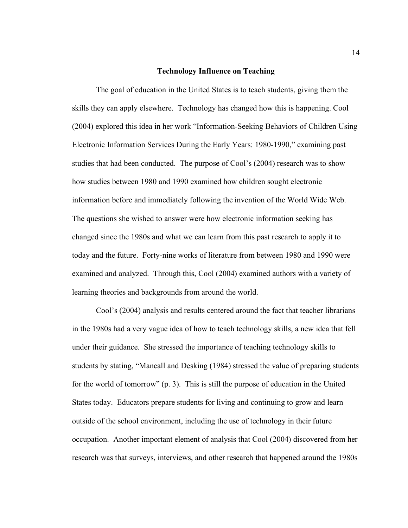#### **Technology Influence on Teaching**

The goal of education in the United States is to teach students, giving them the skills they can apply elsewhere. Technology has changed how this is happening. Cool (2004) explored this idea in her work "Information-Seeking Behaviors of Children Using Electronic Information Services During the Early Years: 1980-1990," examining past studies that had been conducted. The purpose of Cool's (2004) research was to show how studies between 1980 and 1990 examined how children sought electronic information before and immediately following the invention of the World Wide Web. The questions she wished to answer were how electronic information seeking has changed since the 1980s and what we can learn from this past research to apply it to today and the future. Forty-nine works of literature from between 1980 and 1990 were examined and analyzed. Through this, Cool (2004) examined authors with a variety of learning theories and backgrounds from around the world.

Cool's (2004) analysis and results centered around the fact that teacher librarians in the 1980s had a very vague idea of how to teach technology skills, a new idea that fell under their guidance. She stressed the importance of teaching technology skills to students by stating, "Mancall and Desking (1984) stressed the value of preparing students for the world of tomorrow" (p. 3). This is still the purpose of education in the United States today. Educators prepare students for living and continuing to grow and learn outside of the school environment, including the use of technology in their future occupation. Another important element of analysis that Cool (2004) discovered from her research was that surveys, interviews, and other research that happened around the 1980s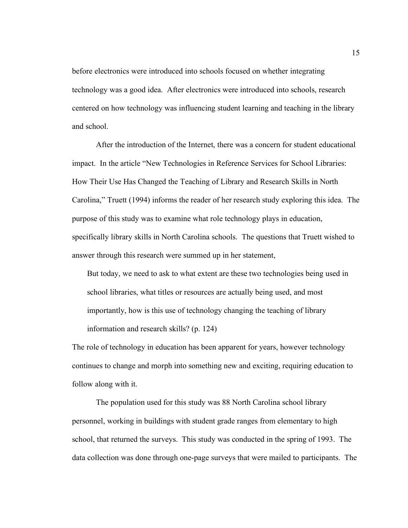before electronics were introduced into schools focused on whether integrating technology was a good idea. After electronics were introduced into schools, research centered on how technology was influencing student learning and teaching in the library and school.

After the introduction of the Internet, there was a concern for student educational impact. In the article "New Technologies in Reference Services for School Libraries: How Their Use Has Changed the Teaching of Library and Research Skills in North Carolina," Truett (1994) informs the reader of her research study exploring this idea. The purpose of this study was to examine what role technology plays in education, specifically library skills in North Carolina schools. The questions that Truett wished to answer through this research were summed up in her statement,

But today, we need to ask to what extent are these two technologies being used in school libraries, what titles or resources are actually being used, and most importantly, how is this use of technology changing the teaching of library information and research skills? (p. 124)

The role of technology in education has been apparent for years, however technology continues to change and morph into something new and exciting, requiring education to follow along with it.

The population used for this study was 88 North Carolina school library personnel, working in buildings with student grade ranges from elementary to high school, that returned the surveys. This study was conducted in the spring of 1993. The data collection was done through one-page surveys that were mailed to participants. The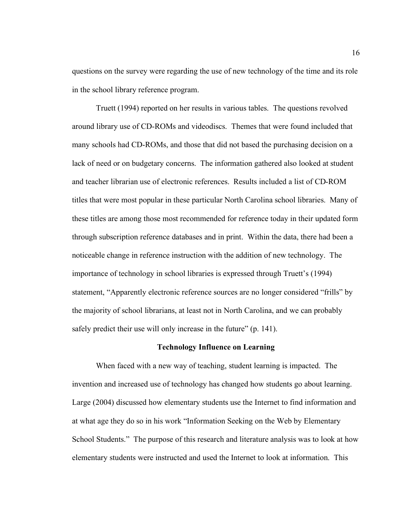questions on the survey were regarding the use of new technology of the time and its role in the school library reference program.

Truett (1994) reported on her results in various tables. The questions revolved around library use of CD-ROMs and videodiscs. Themes that were found included that many schools had CD-ROMs, and those that did not based the purchasing decision on a lack of need or on budgetary concerns. The information gathered also looked at student and teacher librarian use of electronic references. Results included a list of CD-ROM titles that were most popular in these particular North Carolina school libraries. Many of these titles are among those most recommended for reference today in their updated form through subscription reference databases and in print. Within the data, there had been a noticeable change in reference instruction with the addition of new technology. The importance of technology in school libraries is expressed through Truett's (1994) statement, "Apparently electronic reference sources are no longer considered "frills" by the majority of school librarians, at least not in North Carolina, and we can probably safely predict their use will only increase in the future" (p. 141).

#### **Technology Influence on Learning**

When faced with a new way of teaching, student learning is impacted. The invention and increased use of technology has changed how students go about learning. Large (2004) discussed how elementary students use the Internet to find information and at what age they do so in his work "Information Seeking on the Web by Elementary School Students." The purpose of this research and literature analysis was to look at how elementary students were instructed and used the Internet to look at information. This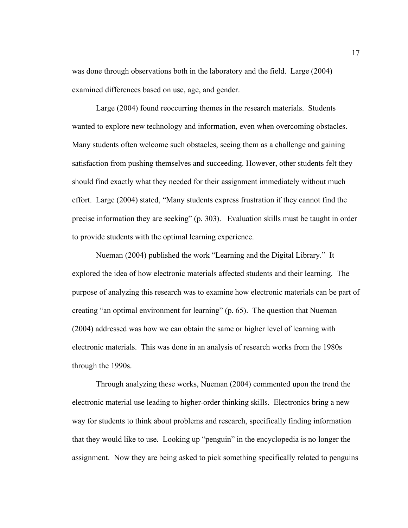was done through observations both in the laboratory and the field. Large (2004) examined differences based on use, age, and gender.

Large (2004) found reoccurring themes in the research materials. Students wanted to explore new technology and information, even when overcoming obstacles. Many students often welcome such obstacles, seeing them as a challenge and gaining satisfaction from pushing themselves and succeeding. However, other students felt they should find exactly what they needed for their assignment immediately without much effort. Large (2004) stated, "Many students express frustration if they cannot find the precise information they are seeking" (p. 303). Evaluation skills must be taught in order to provide students with the optimal learning experience.

Nueman (2004) published the work "Learning and the Digital Library." It explored the idea of how electronic materials affected students and their learning. The purpose of analyzing this research was to examine how electronic materials can be part of creating "an optimal environment for learning" (p. 65). The question that Nueman (2004) addressed was how we can obtain the same or higher level of learning with electronic materials. This was done in an analysis of research works from the 1980s through the 1990s.

Through analyzing these works, Nueman (2004) commented upon the trend the electronic material use leading to higher-order thinking skills. Electronics bring a new way for students to think about problems and research, specifically finding information that they would like to use. Looking up "penguin" in the encyclopedia is no longer the assignment. Now they are being asked to pick something specifically related to penguins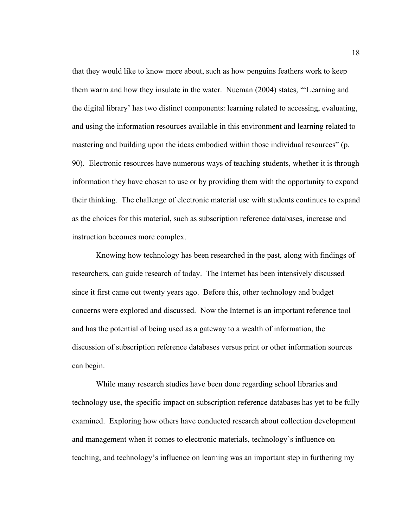that they would like to know more about, such as how penguins feathers work to keep them warm and how they insulate in the water. Nueman (2004) states, "'Learning and the digital library' has two distinct components: learning related to accessing, evaluating, and using the information resources available in this environment and learning related to mastering and building upon the ideas embodied within those individual resources" (p. 90). Electronic resources have numerous ways of teaching students, whether it is through information they have chosen to use or by providing them with the opportunity to expand their thinking. The challenge of electronic material use with students continues to expand as the choices for this material, such as subscription reference databases, increase and instruction becomes more complex.

Knowing how technology has been researched in the past, along with findings of researchers, can guide research of today. The Internet has been intensively discussed since it first came out twenty years ago. Before this, other technology and budget concerns were explored and discussed. Now the Internet is an important reference tool and has the potential of being used as a gateway to a wealth of information, the discussion of subscription reference databases versus print or other information sources can begin.

While many research studies have been done regarding school libraries and technology use, the specific impact on subscription reference databases has yet to be fully examined. Exploring how others have conducted research about collection development and management when it comes to electronic materials, technology's influence on teaching, and technology's influence on learning was an important step in furthering my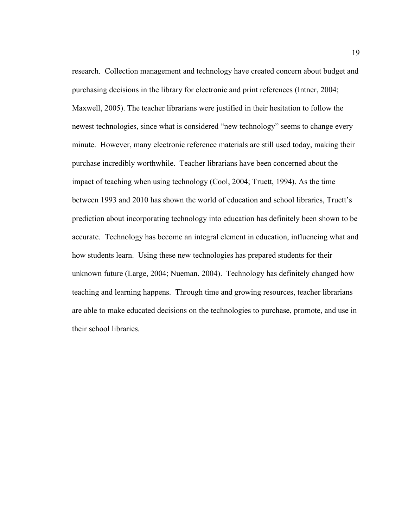research. Collection management and technology have created concern about budget and purchasing decisions in the library for electronic and print references (Intner, 2004; Maxwell, 2005). The teacher librarians were justified in their hesitation to follow the newest technologies, since what is considered "new technology" seems to change every minute. However, many electronic reference materials are still used today, making their purchase incredibly worthwhile. Teacher librarians have been concerned about the impact of teaching when using technology (Cool, 2004; Truett, 1994). As the time between 1993 and 2010 has shown the world of education and school libraries, Truett's prediction about incorporating technology into education has definitely been shown to be accurate. Technology has become an integral element in education, influencing what and how students learn. Using these new technologies has prepared students for their unknown future (Large, 2004; Nueman, 2004). Technology has definitely changed how teaching and learning happens. Through time and growing resources, teacher librarians are able to make educated decisions on the technologies to purchase, promote, and use in their school libraries.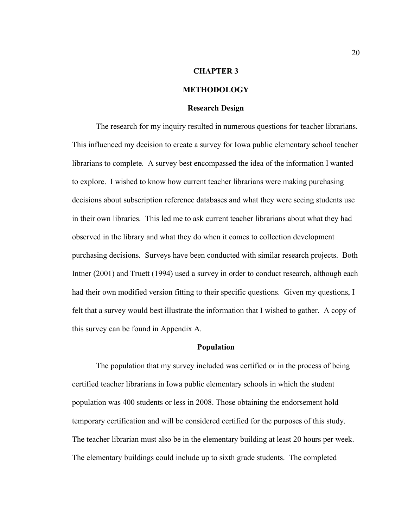#### **CHAPTER 3**

# **METHODOLOGY**

#### **Research Design**

The research for my inquiry resulted in numerous questions for teacher librarians. This influenced my decision to create a survey for Iowa public elementary school teacher librarians to complete. A survey best encompassed the idea of the information I wanted to explore. I wished to know how current teacher librarians were making purchasing decisions about subscription reference databases and what they were seeing students use in their own libraries. This led me to ask current teacher librarians about what they had observed in the library and what they do when it comes to collection development purchasing decisions. Surveys have been conducted with similar research projects. Both Intner (2001) and Truett (1994) used a survey in order to conduct research, although each had their own modified version fitting to their specific questions. Given my questions, I felt that a survey would best illustrate the information that I wished to gather. A copy of this survey can be found in Appendix A.

#### **Population**

The population that my survey included was certified or in the process of being certified teacher librarians in Iowa public elementary schools in which the student population was 400 students or less in 2008. Those obtaining the endorsement hold temporary certification and will be considered certified for the purposes of this study. The teacher librarian must also be in the elementary building at least 20 hours per week. The elementary buildings could include up to sixth grade students. The completed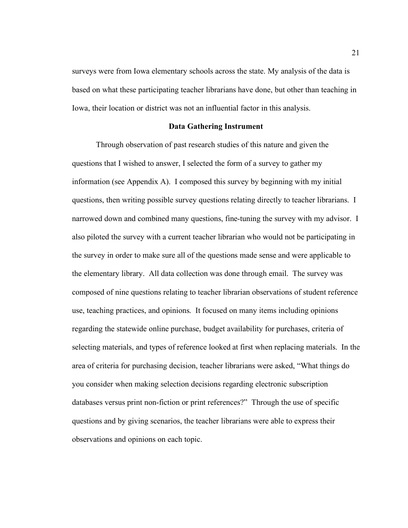surveys were from Iowa elementary schools across the state. My analysis of the data is based on what these participating teacher librarians have done, but other than teaching in Iowa, their location or district was not an influential factor in this analysis.

#### **Data Gathering Instrument**

Through observation of past research studies of this nature and given the questions that I wished to answer, I selected the form of a survey to gather my information (see Appendix A). I composed this survey by beginning with my initial questions, then writing possible survey questions relating directly to teacher librarians. I narrowed down and combined many questions, fine-tuning the survey with my advisor. I also piloted the survey with a current teacher librarian who would not be participating in the survey in order to make sure all of the questions made sense and were applicable to the elementary library. All data collection was done through email. The survey was composed of nine questions relating to teacher librarian observations of student reference use, teaching practices, and opinions. It focused on many items including opinions regarding the statewide online purchase, budget availability for purchases, criteria of selecting materials, and types of reference looked at first when replacing materials. In the area of criteria for purchasing decision, teacher librarians were asked, "What things do you consider when making selection decisions regarding electronic subscription databases versus print non-fiction or print references?" Through the use of specific questions and by giving scenarios, the teacher librarians were able to express their observations and opinions on each topic.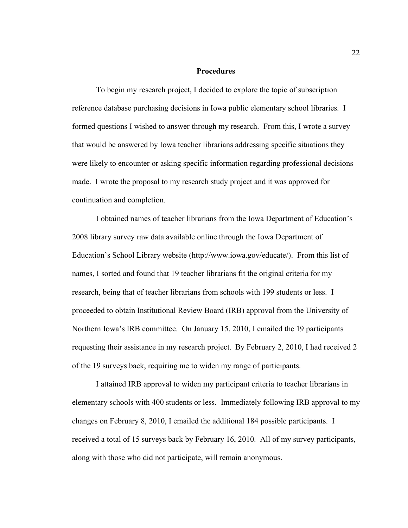### **Procedures**

To begin my research project, I decided to explore the topic of subscription reference database purchasing decisions in Iowa public elementary school libraries. I formed questions I wished to answer through my research. From this, I wrote a survey that would be answered by Iowa teacher librarians addressing specific situations they were likely to encounter or asking specific information regarding professional decisions made. I wrote the proposal to my research study project and it was approved for continuation and completion.

I obtained names of teacher librarians from the Iowa Department of Education's 2008 library survey raw data available online through the Iowa Department of Education's School Library website (http://www.iowa.gov/educate/). From this list of names, I sorted and found that 19 teacher librarians fit the original criteria for my research, being that of teacher librarians from schools with 199 students or less. I proceeded to obtain Institutional Review Board (IRB) approval from the University of Northern Iowa's IRB committee. On January 15, 2010, I emailed the 19 participants requesting their assistance in my research project. By February 2, 2010, I had received 2 of the 19 surveys back, requiring me to widen my range of participants.

I attained IRB approval to widen my participant criteria to teacher librarians in elementary schools with 400 students or less. Immediately following IRB approval to my changes on February 8, 2010, I emailed the additional 184 possible participants. I received a total of 15 surveys back by February 16, 2010. All of my survey participants, along with those who did not participate, will remain anonymous.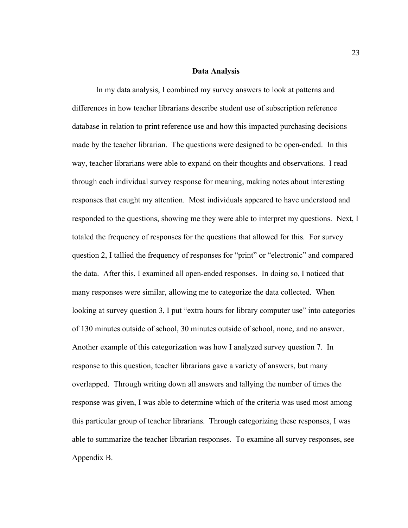#### **Data Analysis**

In my data analysis, I combined my survey answers to look at patterns and differences in how teacher librarians describe student use of subscription reference database in relation to print reference use and how this impacted purchasing decisions made by the teacher librarian. The questions were designed to be open-ended. In this way, teacher librarians were able to expand on their thoughts and observations. I read through each individual survey response for meaning, making notes about interesting responses that caught my attention. Most individuals appeared to have understood and responded to the questions, showing me they were able to interpret my questions. Next, I totaled the frequency of responses for the questions that allowed for this. For survey question 2, I tallied the frequency of responses for "print" or "electronic" and compared the data. After this, I examined all open-ended responses. In doing so, I noticed that many responses were similar, allowing me to categorize the data collected. When looking at survey question 3, I put "extra hours for library computer use" into categories of 130 minutes outside of school, 30 minutes outside of school, none, and no answer. Another example of this categorization was how I analyzed survey question 7. In response to this question, teacher librarians gave a variety of answers, but many overlapped. Through writing down all answers and tallying the number of times the response was given, I was able to determine which of the criteria was used most among this particular group of teacher librarians. Through categorizing these responses, I was able to summarize the teacher librarian responses. To examine all survey responses, see Appendix B.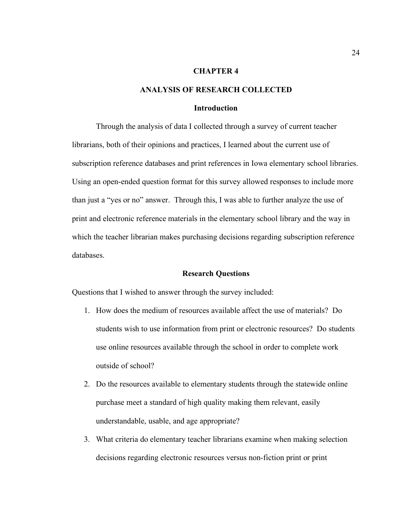# **CHAPTER 4**

#### **ANALYSIS OF RESEARCH COLLECTED**

#### **Introduction**

Through the analysis of data I collected through a survey of current teacher librarians, both of their opinions and practices, I learned about the current use of subscription reference databases and print references in Iowa elementary school libraries. Using an open-ended question format for this survey allowed responses to include more than just a "yes or no" answer. Through this, I was able to further analyze the use of print and electronic reference materials in the elementary school library and the way in which the teacher librarian makes purchasing decisions regarding subscription reference databases.

#### **Research Questions**

Questions that I wished to answer through the survey included:

- 1. How does the medium of resources available affect the use of materials? Do students wish to use information from print or electronic resources? Do students use online resources available through the school in order to complete work outside of school?
- 2. Do the resources available to elementary students through the statewide online purchase meet a standard of high quality making them relevant, easily understandable, usable, and age appropriate?
- 3. What criteria do elementary teacher librarians examine when making selection decisions regarding electronic resources versus non-fiction print or print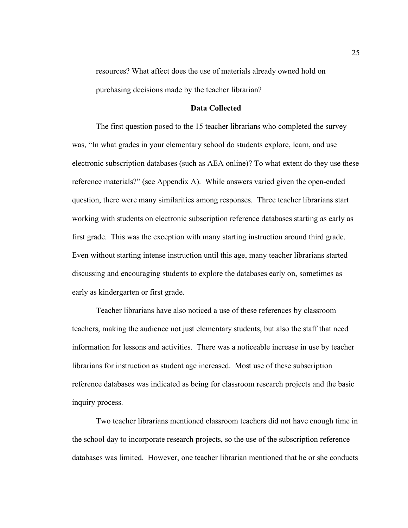resources? What affect does the use of materials already owned hold on purchasing decisions made by the teacher librarian?

#### **Data Collected**

The first question posed to the 15 teacher librarians who completed the survey was, "In what grades in your elementary school do students explore, learn, and use electronic subscription databases (such as AEA online)? To what extent do they use these reference materials?" (see Appendix A). While answers varied given the open-ended question, there were many similarities among responses. Three teacher librarians start working with students on electronic subscription reference databases starting as early as first grade. This was the exception with many starting instruction around third grade. Even without starting intense instruction until this age, many teacher librarians started discussing and encouraging students to explore the databases early on, sometimes as early as kindergarten or first grade.

Teacher librarians have also noticed a use of these references by classroom teachers, making the audience not just elementary students, but also the staff that need information for lessons and activities. There was a noticeable increase in use by teacher librarians for instruction as student age increased. Most use of these subscription reference databases was indicated as being for classroom research projects and the basic inquiry process.

Two teacher librarians mentioned classroom teachers did not have enough time in the school day to incorporate research projects, so the use of the subscription reference databases was limited. However, one teacher librarian mentioned that he or she conducts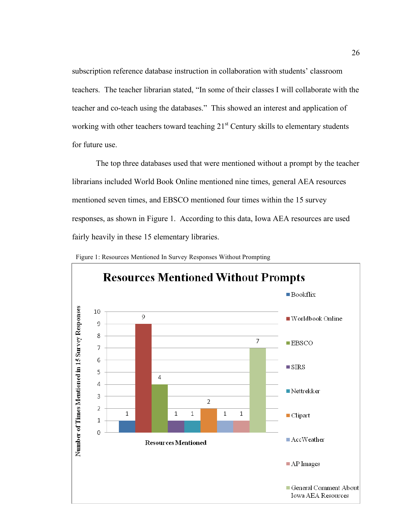subscription reference database instruction in collaboration with students' classroom teachers. The teacher librarian stated, "In some of their classes I will collaborate with the teacher and co-teach using the databases." This showed an interest and application of working with other teachers toward teaching  $21<sup>st</sup>$  Century skills to elementary students for future use.

The top three databases used that were mentioned without a prompt by the teacher librarians included World Book Online mentioned nine times, general AEA resources mentioned seven times, and EBSCO mentioned four times within the 15 survey responses, as shown in Figure 1. According to this data, Iowa AEA resources are used fairly heavily in these 15 elementary libraries.



Figure 1: Resources Mentioned In Survey Responses Without Prompting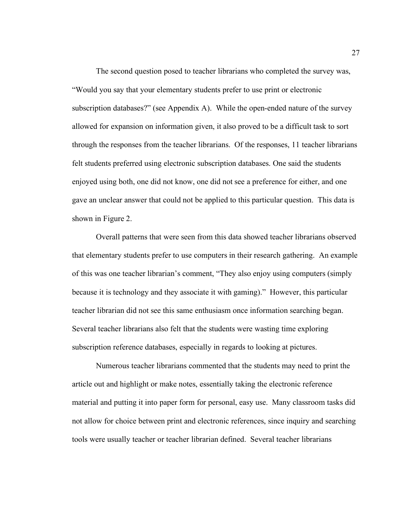The second question posed to teacher librarians who completed the survey was, "Would you say that your elementary students prefer to use print or electronic subscription databases?" (see Appendix A). While the open-ended nature of the survey allowed for expansion on information given, it also proved to be a difficult task to sort through the responses from the teacher librarians. Of the responses, 11 teacher librarians felt students preferred using electronic subscription databases. One said the students enjoyed using both, one did not know, one did not see a preference for either, and one gave an unclear answer that could not be applied to this particular question. This data is shown in Figure 2.

Overall patterns that were seen from this data showed teacher librarians observed that elementary students prefer to use computers in their research gathering. An example of this was one teacher librarian's comment, "They also enjoy using computers (simply because it is technology and they associate it with gaming)." However, this particular teacher librarian did not see this same enthusiasm once information searching began. Several teacher librarians also felt that the students were wasting time exploring subscription reference databases, especially in regards to looking at pictures.

Numerous teacher librarians commented that the students may need to print the article out and highlight or make notes, essentially taking the electronic reference material and putting it into paper form for personal, easy use. Many classroom tasks did not allow for choice between print and electronic references, since inquiry and searching tools were usually teacher or teacher librarian defined. Several teacher librarians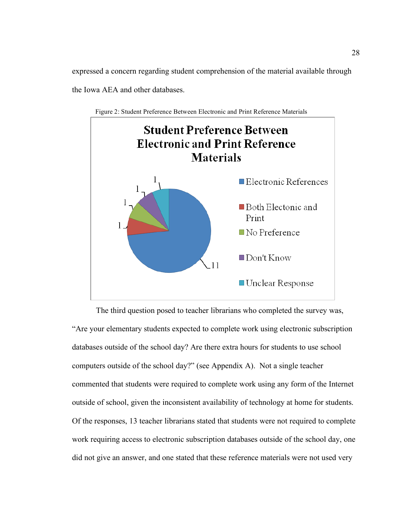expressed a concern regarding student comprehension of the material available through the Iowa AEA and other databases.





The third question posed to teacher librarians who completed the survey was, "Are your elementary students expected to complete work using electronic subscription databases outside of the school day? Are there extra hours for students to use school computers outside of the school day?" (see Appendix A). Not a single teacher commented that students were required to complete work using any form of the Internet outside of school, given the inconsistent availability of technology at home for students. Of the responses, 13 teacher librarians stated that students were not required to complete work requiring access to electronic subscription databases outside of the school day, one did not give an answer, and one stated that these reference materials were not used very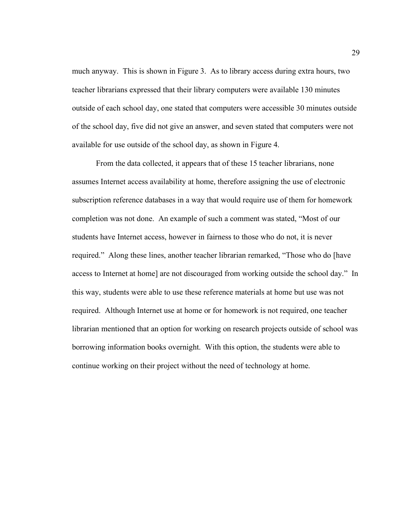much anyway. This is shown in Figure 3. As to library access during extra hours, two teacher librarians expressed that their library computers were available 130 minutes outside of each school day, one stated that computers were accessible 30 minutes outside of the school day, five did not give an answer, and seven stated that computers were not available for use outside of the school day, as shown in Figure 4.

From the data collected, it appears that of these 15 teacher librarians, none assumes Internet access availability at home, therefore assigning the use of electronic subscription reference databases in a way that would require use of them for homework completion was not done. An example of such a comment was stated, "Most of our students have Internet access, however in fairness to those who do not, it is never required." Along these lines, another teacher librarian remarked, "Those who do [have access to Internet at home] are not discouraged from working outside the school day." In this way, students were able to use these reference materials at home but use was not required. Although Internet use at home or for homework is not required, one teacher librarian mentioned that an option for working on research projects outside of school was borrowing information books overnight. With this option, the students were able to continue working on their project without the need of technology at home.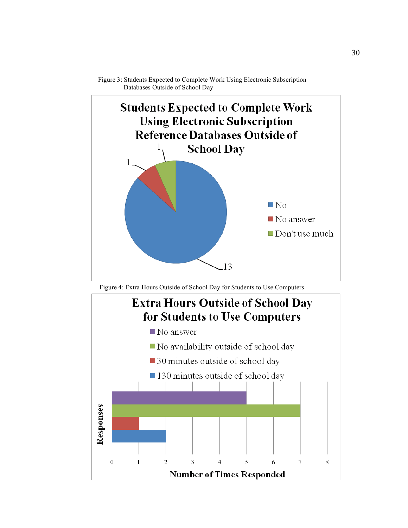

Figure 3: Students Expected to Complete Work Using Electronic Subscription Databases Outside of School Day

Figure 4: Extra Hours Outside of School Day for Students to Use Computers

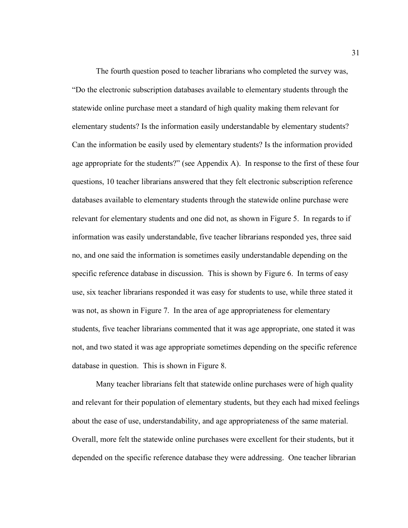The fourth question posed to teacher librarians who completed the survey was, "Do the electronic subscription databases available to elementary students through the statewide online purchase meet a standard of high quality making them relevant for elementary students? Is the information easily understandable by elementary students? Can the information be easily used by elementary students? Is the information provided age appropriate for the students?" (see Appendix A). In response to the first of these four questions, 10 teacher librarians answered that they felt electronic subscription reference databases available to elementary students through the statewide online purchase were relevant for elementary students and one did not, as shown in Figure 5. In regards to if information was easily understandable, five teacher librarians responded yes, three said no, and one said the information is sometimes easily understandable depending on the specific reference database in discussion. This is shown by Figure 6. In terms of easy use, six teacher librarians responded it was easy for students to use, while three stated it was not, as shown in Figure 7. In the area of age appropriateness for elementary students, five teacher librarians commented that it was age appropriate, one stated it was not, and two stated it was age appropriate sometimes depending on the specific reference database in question. This is shown in Figure 8.

Many teacher librarians felt that statewide online purchases were of high quality and relevant for their population of elementary students, but they each had mixed feelings about the ease of use, understandability, and age appropriateness of the same material. Overall, more felt the statewide online purchases were excellent for their students, but it depended on the specific reference database they were addressing. One teacher librarian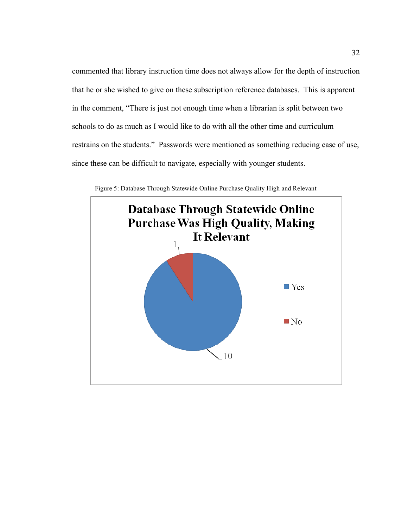commented that library instruction time does not always allow for the depth of instruction that he or she wished to give on these subscription reference databases. This is apparent in the comment, "There is just not enough time when a librarian is split between two schools to do as much as I would like to do with all the other time and curriculum restrains on the students." Passwords were mentioned as something reducing ease of use, since these can be difficult to navigate, especially with younger students.



Figure 5: Database Through Statewide Online Purchase Quality High and Relevant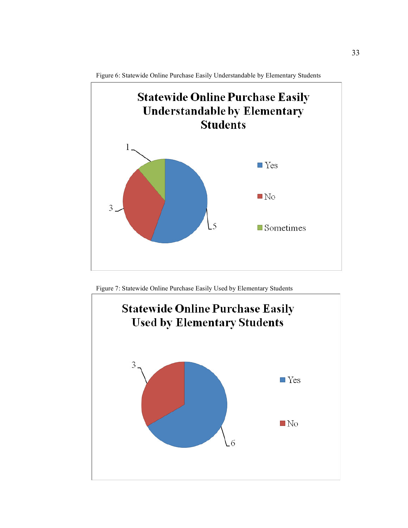

Figure 6: Statewide Online Purchase Easily Understandable by Elementary Students

Figure 7: Statewide Online Purchase Easily Used by Elementary Students

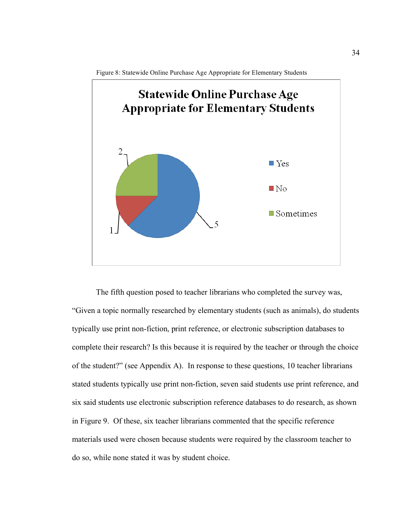



The fifth question posed to teacher librarians who completed the survey was, "Given a topic normally researched by elementary students (such as animals), do students typically use print non-fiction, print reference, or electronic subscription databases to complete their research? Is this because it is required by the teacher or through the choice of the student?" (see Appendix A). In response to these questions, 10 teacher librarians stated students typically use print non-fiction, seven said students use print reference, and six said students use electronic subscription reference databases to do research, as shown in Figure 9. Of these, six teacher librarians commented that the specific reference materials used were chosen because students were required by the classroom teacher to do so, while none stated it was by student choice.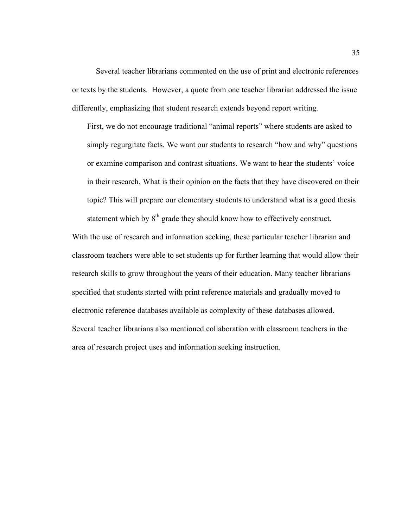Several teacher librarians commented on the use of print and electronic references or texts by the students. However, a quote from one teacher librarian addressed the issue differently, emphasizing that student research extends beyond report writing.

First, we do not encourage traditional "animal reports" where students are asked to simply regurgitate facts. We want our students to research "how and why" questions or examine comparison and contrast situations. We want to hear the students' voice in their research. What is their opinion on the facts that they have discovered on their topic? This will prepare our elementary students to understand what is a good thesis statement which by  $8<sup>th</sup>$  grade they should know how to effectively construct.

With the use of research and information seeking, these particular teacher librarian and classroom teachers were able to set students up for further learning that would allow their research skills to grow throughout the years of their education. Many teacher librarians specified that students started with print reference materials and gradually moved to electronic reference databases available as complexity of these databases allowed. Several teacher librarians also mentioned collaboration with classroom teachers in the area of research project uses and information seeking instruction.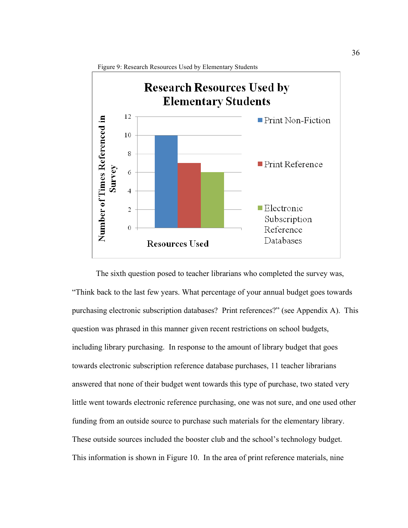

The sixth question posed to teacher librarians who completed the survey was, "Think back to the last few years. What percentage of your annual budget goes towards purchasing electronic subscription databases? Print references?" (see Appendix A). This question was phrased in this manner given recent restrictions on school budgets, including library purchasing. In response to the amount of library budget that goes towards electronic subscription reference database purchases, 11 teacher librarians answered that none of their budget went towards this type of purchase, two stated very little went towards electronic reference purchasing, one was not sure, and one used other funding from an outside source to purchase such materials for the elementary library. These outside sources included the booster club and the school's technology budget. This information is shown in Figure 10. In the area of print reference materials, nine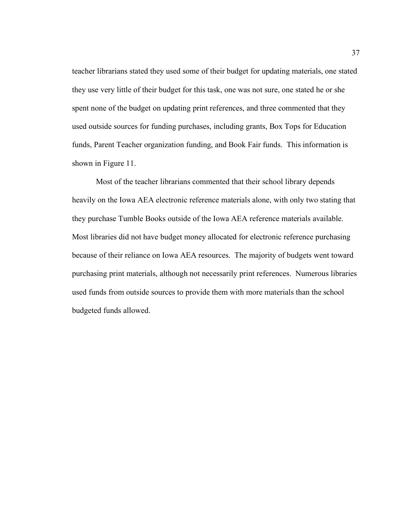teacher librarians stated they used some of their budget for updating materials, one stated they use very little of their budget for this task, one was not sure, one stated he or she spent none of the budget on updating print references, and three commented that they used outside sources for funding purchases, including grants, Box Tops for Education funds, Parent Teacher organization funding, and Book Fair funds. This information is shown in Figure 11.

Most of the teacher librarians commented that their school library depends heavily on the Iowa AEA electronic reference materials alone, with only two stating that they purchase Tumble Books outside of the Iowa AEA reference materials available. Most libraries did not have budget money allocated for electronic reference purchasing because of their reliance on Iowa AEA resources. The majority of budgets went toward purchasing print materials, although not necessarily print references. Numerous libraries used funds from outside sources to provide them with more materials than the school budgeted funds allowed.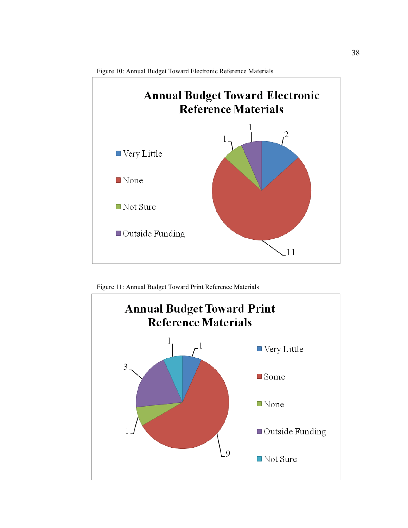

Figure 10: Annual Budget Toward Electronic Reference Materials

Figure 11: Annual Budget Toward Print Reference Materials

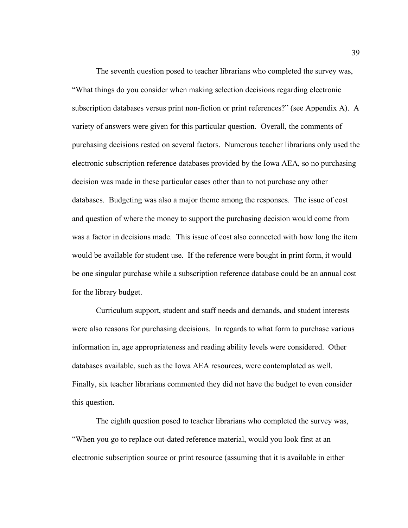The seventh question posed to teacher librarians who completed the survey was, "What things do you consider when making selection decisions regarding electronic subscription databases versus print non-fiction or print references?" (see Appendix A). A variety of answers were given for this particular question. Overall, the comments of purchasing decisions rested on several factors. Numerous teacher librarians only used the electronic subscription reference databases provided by the Iowa AEA, so no purchasing decision was made in these particular cases other than to not purchase any other databases. Budgeting was also a major theme among the responses. The issue of cost and question of where the money to support the purchasing decision would come from was a factor in decisions made. This issue of cost also connected with how long the item would be available for student use. If the reference were bought in print form, it would be one singular purchase while a subscription reference database could be an annual cost for the library budget.

Curriculum support, student and staff needs and demands, and student interests were also reasons for purchasing decisions. In regards to what form to purchase various information in, age appropriateness and reading ability levels were considered. Other databases available, such as the Iowa AEA resources, were contemplated as well. Finally, six teacher librarians commented they did not have the budget to even consider this question.

The eighth question posed to teacher librarians who completed the survey was, "When you go to replace out-dated reference material, would you look first at an electronic subscription source or print resource (assuming that it is available in either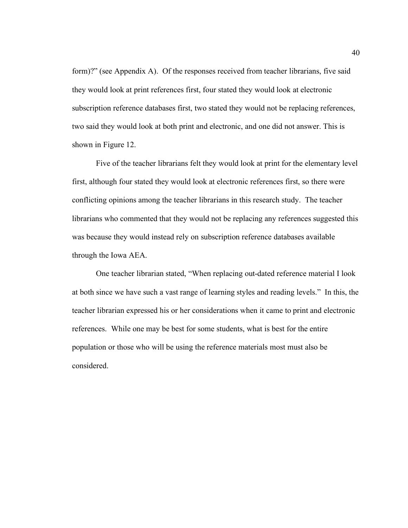form)?" (see Appendix A). Of the responses received from teacher librarians, five said they would look at print references first, four stated they would look at electronic subscription reference databases first, two stated they would not be replacing references, two said they would look at both print and electronic, and one did not answer. This is shown in Figure 12.

Five of the teacher librarians felt they would look at print for the elementary level first, although four stated they would look at electronic references first, so there were conflicting opinions among the teacher librarians in this research study. The teacher librarians who commented that they would not be replacing any references suggested this was because they would instead rely on subscription reference databases available through the Iowa AEA.

One teacher librarian stated, "When replacing out-dated reference material I look at both since we have such a vast range of learning styles and reading levels." In this, the teacher librarian expressed his or her considerations when it came to print and electronic references. While one may be best for some students, what is best for the entire population or those who will be using the reference materials most must also be considered.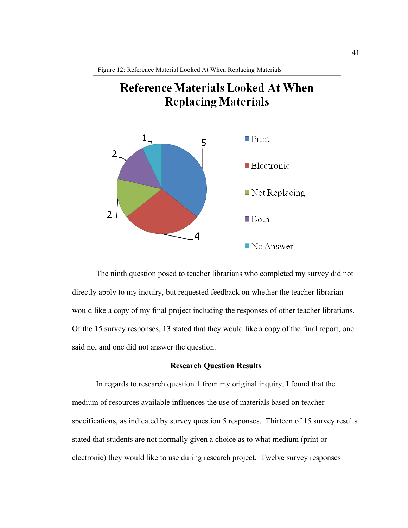

The ninth question posed to teacher librarians who completed my survey did not directly apply to my inquiry, but requested feedback on whether the teacher librarian would like a copy of my final project including the responses of other teacher librarians. Of the 15 survey responses, 13 stated that they would like a copy of the final report, one said no, and one did not answer the question.

#### **Research Question Results**

In regards to research question 1 from my original inquiry, I found that the medium of resources available influences the use of materials based on teacher specifications, as indicated by survey question 5 responses. Thirteen of 15 survey results stated that students are not normally given a choice as to what medium (print or electronic) they would like to use during research project. Twelve survey responses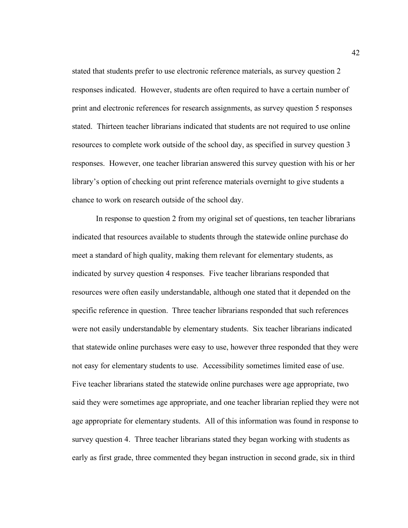stated that students prefer to use electronic reference materials, as survey question 2 responses indicated. However, students are often required to have a certain number of print and electronic references for research assignments, as survey question 5 responses stated. Thirteen teacher librarians indicated that students are not required to use online resources to complete work outside of the school day, as specified in survey question 3 responses. However, one teacher librarian answered this survey question with his or her library's option of checking out print reference materials overnight to give students a chance to work on research outside of the school day.

In response to question 2 from my original set of questions, ten teacher librarians indicated that resources available to students through the statewide online purchase do meet a standard of high quality, making them relevant for elementary students, as indicated by survey question 4 responses. Five teacher librarians responded that resources were often easily understandable, although one stated that it depended on the specific reference in question. Three teacher librarians responded that such references were not easily understandable by elementary students. Six teacher librarians indicated that statewide online purchases were easy to use, however three responded that they were not easy for elementary students to use. Accessibility sometimes limited ease of use. Five teacher librarians stated the statewide online purchases were age appropriate, two said they were sometimes age appropriate, and one teacher librarian replied they were not age appropriate for elementary students. All of this information was found in response to survey question 4. Three teacher librarians stated they began working with students as early as first grade, three commented they began instruction in second grade, six in third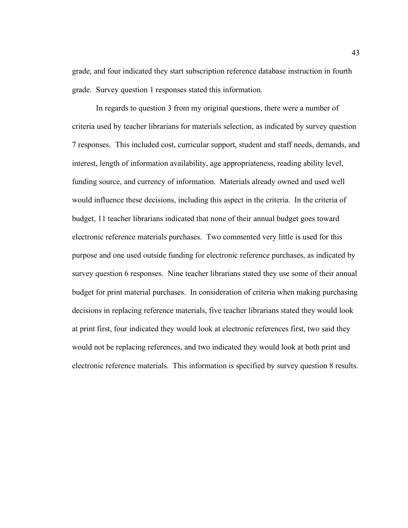grade, and four indicated they start subscription reference database instruction in fourth grade. Survey question 1 responses stated this information.

In regards to question 3 from my original questions, there were a number of criteria used by teacher librarians for materials selection, as indicated by survey question 7 responses. This included cost, curricular support, student and staff needs, demands, and interest, length of information availability, age appropriateness, reading ability level, funding source, and currency of information. Materials already owned and used well would influence these decisions, including this aspect in the criteria. In the criteria of budget, 11 teacher librarians indicated that none of their annual budget goes toward electronic reference materials purchases. Two commented very little is used for this purpose and one used outside funding for electronic reference purchases, as indicated by survey question 6 responses. Nine teacher librarians stated they use some of their annual budget for print material purchases. In consideration of criteria when making purchasing decisions in replacing reference materials, five teacher librarians stated they would look at print first, four indicated they would look at electronic references first, two said they would not be replacing references, and two indicated they would look at both print and electronic reference materials. This information is specified by survey question 8 results.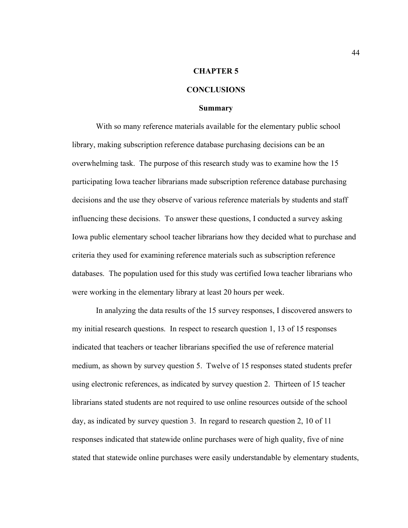#### **CHAPTER 5**

#### **CONCLUSIONS**

#### **Summary**

With so many reference materials available for the elementary public school library, making subscription reference database purchasing decisions can be an overwhelming task. The purpose of this research study was to examine how the 15 participating Iowa teacher librarians made subscription reference database purchasing decisions and the use they observe of various reference materials by students and staff influencing these decisions. To answer these questions, I conducted a survey asking Iowa public elementary school teacher librarians how they decided what to purchase and criteria they used for examining reference materials such as subscription reference databases. The population used for this study was certified Iowa teacher librarians who were working in the elementary library at least 20 hours per week.

In analyzing the data results of the 15 survey responses, I discovered answers to my initial research questions. In respect to research question 1, 13 of 15 responses indicated that teachers or teacher librarians specified the use of reference material medium, as shown by survey question 5. Twelve of 15 responses stated students prefer using electronic references, as indicated by survey question 2. Thirteen of 15 teacher librarians stated students are not required to use online resources outside of the school day, as indicated by survey question 3. In regard to research question 2, 10 of 11 responses indicated that statewide online purchases were of high quality, five of nine stated that statewide online purchases were easily understandable by elementary students,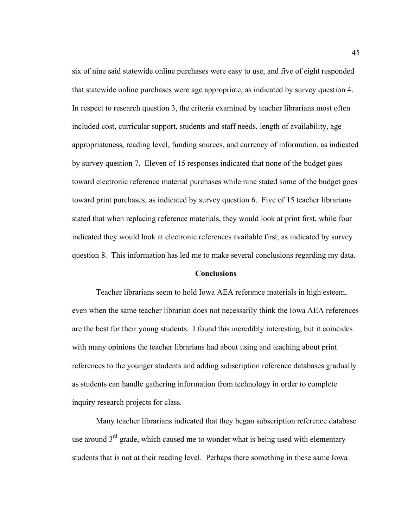six of nine said statewide online purchases were easy to use, and five of eight responded that statewide online purchases were age appropriate, as indicated by survey question 4. In respect to research question 3, the criteria examined by teacher librarians most often included cost, curricular support, students and staff needs, length of availability, age appropriateness, reading level, funding sources, and currency of information, as indicated by survey question 7. Eleven of 15 responses indicated that none of the budget goes toward electronic reference material purchases while nine stated some of the budget goes toward print purchases, as indicated by survey question 6. Five of 15 teacher librarians stated that when replacing reference materials, they would look at print first, while four indicated they would look at electronic references available first, as indicated by survey question 8. This information has led me to make several conclusions regarding my data.

#### **Conclusions**

Teacher librarians seem to hold Iowa AEA reference materials in high esteem, even when the same teacher librarian does not necessarily think the Iowa AEA references are the best for their young students. I found this incredibly interesting, but it coincides with many opinions the teacher librarians had about using and teaching about print references to the younger students and adding subscription reference databases gradually as students can handle gathering information from technology in order to complete inquiry research projects for class.

Many teacher librarians indicated that they began subscription reference database use around  $3<sup>rd</sup>$  grade, which caused me to wonder what is being used with elementary students that is not at their reading level. Perhaps there something in these same Iowa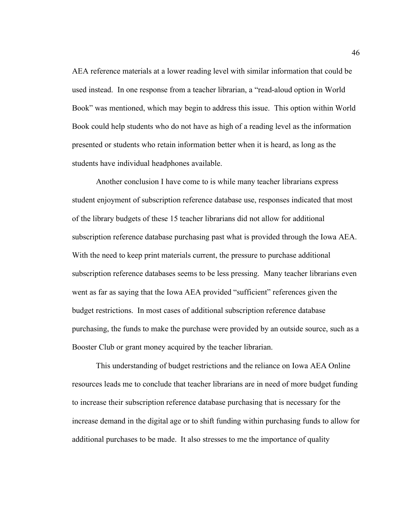AEA reference materials at a lower reading level with similar information that could be used instead. In one response from a teacher librarian, a "read-aloud option in World Book" was mentioned, which may begin to address this issue. This option within World Book could help students who do not have as high of a reading level as the information presented or students who retain information better when it is heard, as long as the students have individual headphones available.

Another conclusion I have come to is while many teacher librarians express student enjoyment of subscription reference database use, responses indicated that most of the library budgets of these 15 teacher librarians did not allow for additional subscription reference database purchasing past what is provided through the Iowa AEA. With the need to keep print materials current, the pressure to purchase additional subscription reference databases seems to be less pressing. Many teacher librarians even went as far as saying that the Iowa AEA provided "sufficient" references given the budget restrictions. In most cases of additional subscription reference database purchasing, the funds to make the purchase were provided by an outside source, such as a Booster Club or grant money acquired by the teacher librarian.

This understanding of budget restrictions and the reliance on Iowa AEA Online resources leads me to conclude that teacher librarians are in need of more budget funding to increase their subscription reference database purchasing that is necessary for the increase demand in the digital age or to shift funding within purchasing funds to allow for additional purchases to be made. It also stresses to me the importance of quality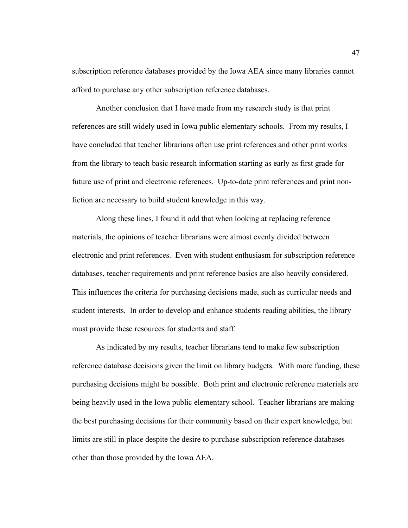subscription reference databases provided by the Iowa AEA since many libraries cannot afford to purchase any other subscription reference databases.

Another conclusion that I have made from my research study is that print references are still widely used in Iowa public elementary schools. From my results, I have concluded that teacher librarians often use print references and other print works from the library to teach basic research information starting as early as first grade for future use of print and electronic references. Up-to-date print references and print nonfiction are necessary to build student knowledge in this way.

Along these lines, I found it odd that when looking at replacing reference materials, the opinions of teacher librarians were almost evenly divided between electronic and print references. Even with student enthusiasm for subscription reference databases, teacher requirements and print reference basics are also heavily considered. This influences the criteria for purchasing decisions made, such as curricular needs and student interests. In order to develop and enhance students reading abilities, the library must provide these resources for students and staff.

As indicated by my results, teacher librarians tend to make few subscription reference database decisions given the limit on library budgets. With more funding, these purchasing decisions might be possible. Both print and electronic reference materials are being heavily used in the Iowa public elementary school. Teacher librarians are making the best purchasing decisions for their community based on their expert knowledge, but limits are still in place despite the desire to purchase subscription reference databases other than those provided by the Iowa AEA.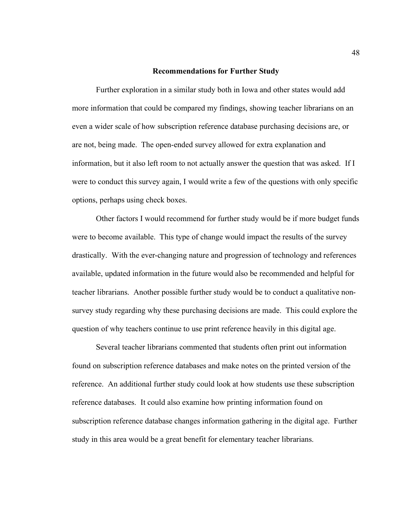#### **Recommendations for Further Study**

Further exploration in a similar study both in Iowa and other states would add more information that could be compared my findings, showing teacher librarians on an even a wider scale of how subscription reference database purchasing decisions are, or are not, being made. The open-ended survey allowed for extra explanation and information, but it also left room to not actually answer the question that was asked. If I were to conduct this survey again, I would write a few of the questions with only specific options, perhaps using check boxes.

Other factors I would recommend for further study would be if more budget funds were to become available. This type of change would impact the results of the survey drastically. With the ever-changing nature and progression of technology and references available, updated information in the future would also be recommended and helpful for teacher librarians. Another possible further study would be to conduct a qualitative nonsurvey study regarding why these purchasing decisions are made. This could explore the question of why teachers continue to use print reference heavily in this digital age.

Several teacher librarians commented that students often print out information found on subscription reference databases and make notes on the printed version of the reference. An additional further study could look at how students use these subscription reference databases. It could also examine how printing information found on subscription reference database changes information gathering in the digital age. Further study in this area would be a great benefit for elementary teacher librarians.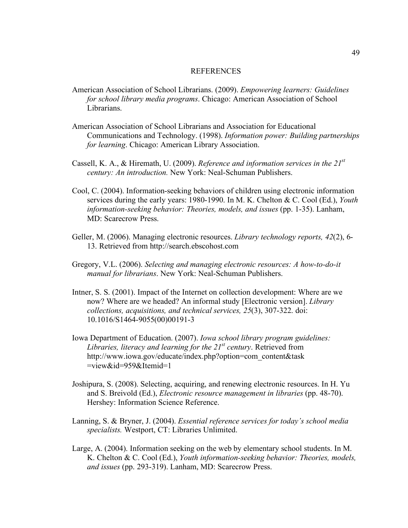#### REFERENCES

- American Association of School Librarians. (2009). *Empowering learners: Guidelines for school library media programs*. Chicago: American Association of School Librarians.
- American Association of School Librarians and Association for Educational Communications and Technology. (1998). *Information power: Building partnerships for learning*. Chicago: American Library Association.
- Cassell, K. A., & Hiremath, U. (2009). *Reference and information services in the 21st century: An introduction.* New York: Neal-Schuman Publishers.
- Cool, C. (2004). Information-seeking behaviors of children using electronic information services during the early years: 1980-1990. In M. K. Chelton & C. Cool (Ed.), *Youth information-seeking behavior: Theories, models, and issues* (pp. 1-35). Lanham, MD: Scarecrow Press.
- Geller, M. (2006). Managing electronic resources. *Library technology reports, 42*(2), 6- 13. Retrieved from http://search.ebscohost.com
- Gregory, V.L. (2006). *Selecting and managing electronic resources: A how-to-do-it manual for librarians*. New York: Neal-Schuman Publishers.
- Intner, S. S. (2001). Impact of the Internet on collection development: Where are we now? Where are we headed? An informal study [Electronic version]. *Library collections, acquisitions, and technical services, 25*(3), 307-322. doi: 10.1016/S1464-9055(00)00191-3
- Iowa Department of Education. (2007). *Iowa school library program guidelines:*  Libraries, literacy and learning for the 21<sup>st</sup> century. Retrieved from http://www.iowa.gov/educate/index.php?option=com\_content&task =view&id=959&Itemid=1
- Joshipura, S. (2008). Selecting, acquiring, and renewing electronic resources. In H. Yu and S. Breivold (Ed.), *Electronic resource management in libraries* (pp. 48-70). Hershey: Information Science Reference.
- Lanning, S. & Bryner, J. (2004). *Essential reference services for today's school media specialists.* Westport, CT: Libraries Unlimited.
- Large, A. (2004). Information seeking on the web by elementary school students. In M. K. Chelton & C. Cool (Ed.), *Youth information-seeking behavior: Theories, models, and issues* (pp. 293-319). Lanham, MD: Scarecrow Press.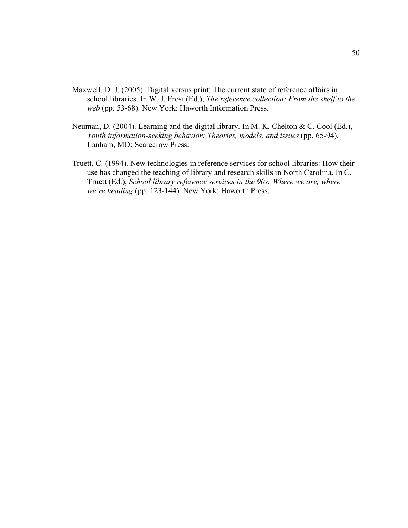- Maxwell, D. J. (2005). Digital versus print: The current state of reference affairs in school libraries. In W. J. Frost (Ed.), *The reference collection: From the shelf to the web* (pp. 53-68). New York: Haworth Information Press.
- Neuman, D. (2004). Learning and the digital library. In M. K. Chelton & C. Cool (Ed.), *Youth information-seeking behavior: Theories, models, and issues* (pp. 65-94). Lanham, MD: Scarecrow Press.
- Truett, C. (1994). New technologies in reference services for school libraries: How their use has changed the teaching of library and research skills in North Carolina. In C. Truett (Ed.), *School library reference services in the 90s: Where we are, where we're heading* (pp. 123-144). New York: Haworth Press.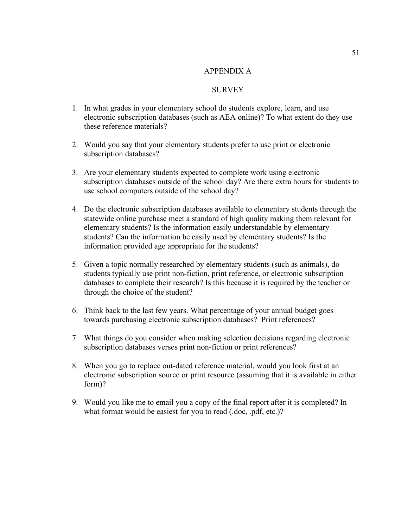# APPENDIX A

### **SURVEY**

- 1. In what grades in your elementary school do students explore, learn, and use electronic subscription databases (such as AEA online)? To what extent do they use these reference materials?
- 2. Would you say that your elementary students prefer to use print or electronic subscription databases?
- 3. Are your elementary students expected to complete work using electronic subscription databases outside of the school day? Are there extra hours for students to use school computers outside of the school day?
- 4. Do the electronic subscription databases available to elementary students through the statewide online purchase meet a standard of high quality making them relevant for elementary students? Is the information easily understandable by elementary students? Can the information be easily used by elementary students? Is the information provided age appropriate for the students?
- 5. Given a topic normally researched by elementary students (such as animals), do students typically use print non-fiction, print reference, or electronic subscription databases to complete their research? Is this because it is required by the teacher or through the choice of the student?
- 6. Think back to the last few years. What percentage of your annual budget goes towards purchasing electronic subscription databases? Print references?
- 7. What things do you consider when making selection decisions regarding electronic subscription databases verses print non-fiction or print references?
- 8. When you go to replace out-dated reference material, would you look first at an electronic subscription source or print resource (assuming that it is available in either form)?
- 9. Would you like me to email you a copy of the final report after it is completed? In what format would be easiest for you to read (.doc, .pdf, etc.)?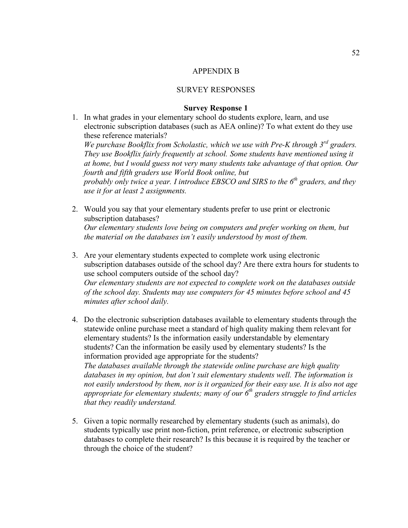### APPENDIX B

### SURVEY RESPONSES

### **Survey Response 1**

- 1. In what grades in your elementary school do students explore, learn, and use electronic subscription databases (such as AEA online)? To what extent do they use these reference materials? *We purchase Bookflix from Scholastic, which we use with Pre-K through 3rd graders. They use Bookflix fairly frequently at school. Some students have mentioned using it at home, but I would guess not very many students take advantage of that option. Our fourth and fifth graders use World Book online, but probably only twice a year. I introduce EBSCO and SIRS to the 6<sup>th</sup> graders, and they use it for at least 2 assignments.*
- 2. Would you say that your elementary students prefer to use print or electronic subscription databases? *Our elementary students love being on computers and prefer working on them, but the material on the databases isn't easily understood by most of them.*
- 3. Are your elementary students expected to complete work using electronic subscription databases outside of the school day? Are there extra hours for students to use school computers outside of the school day? *Our elementary students are not expected to complete work on the databases outside of the school day. Students may use computers for 45 minutes before school and 45 minutes after school daily.*
- 4. Do the electronic subscription databases available to elementary students through the statewide online purchase meet a standard of high quality making them relevant for elementary students? Is the information easily understandable by elementary students? Can the information be easily used by elementary students? Is the information provided age appropriate for the students? *The databases available through the statewide online purchase are high quality databases in my opinion, but don't suit elementary students well. The information is not easily understood by them, nor is it organized for their easy use. It is also not age appropriate for elementary students; many of our 6th graders struggle to find articles that they readily understand.*
- 5. Given a topic normally researched by elementary students (such as animals), do students typically use print non-fiction, print reference, or electronic subscription databases to complete their research? Is this because it is required by the teacher or through the choice of the student?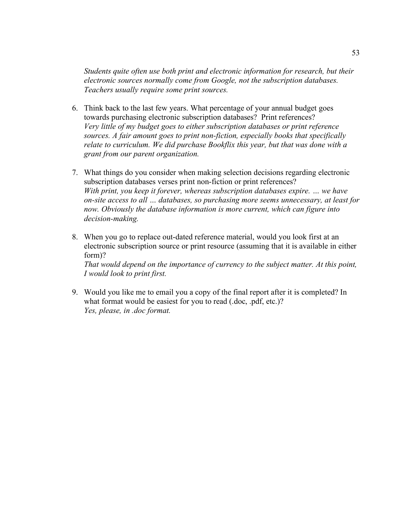*Students quite often use both print and electronic information for research, but their electronic sources normally come from Google, not the subscription databases. Teachers usually require some print sources.*

- 6. Think back to the last few years. What percentage of your annual budget goes towards purchasing electronic subscription databases? Print references? *Very little of my budget goes to either subscription databases or print reference sources. A fair amount goes to print non-fiction, especially books that specifically relate to curriculum. We did purchase Bookflix this year, but that was done with a grant from our parent organization.*
- 7. What things do you consider when making selection decisions regarding electronic subscription databases verses print non-fiction or print references? *With print, you keep it forever, whereas subscription databases expire. … we have on-site access to all … databases, so purchasing more seems unnecessary, at least for now. Obviously the database information is more current, which can figure into decision-making.*
- 8. When you go to replace out-dated reference material, would you look first at an electronic subscription source or print resource (assuming that it is available in either form)? *That would depend on the importance of currency to the subject matter. At this point, I would look to print first.*
- 9. Would you like me to email you a copy of the final report after it is completed? In what format would be easiest for you to read (.doc, .pdf, etc.)? *Yes, please, in .doc format.*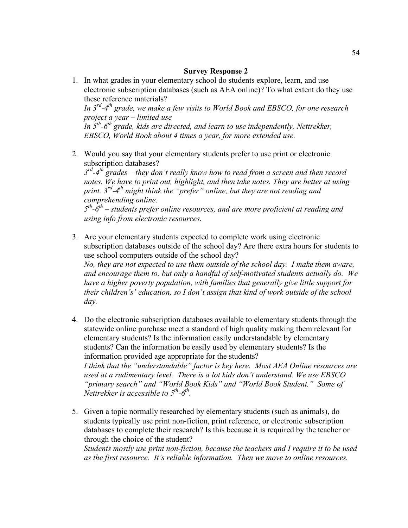- 1. In what grades in your elementary school do students explore, learn, and use electronic subscription databases (such as AEA online)? To what extent do they use these reference materials? *In 3rd-4th grade, we make a few visits to World Book and EBSCO, for one research project a year – limited use In 5th-6th grade, kids are directed, and learn to use independently, Nettrekker, EBSCO, World Book about 4 times a year, for more extended use.*
- 2. Would you say that your elementary students prefer to use print or electronic subscription databases?

*3rd-4th grades – they don't really know how to read from a screen and then record notes. We have to print out, highlight, and then take notes. They are better at using print. 3rd-4th might think the "prefer" online, but they are not reading and comprehending online.*

*5th-6th – students prefer online resources, and are more proficient at reading and using info from electronic resources.*

- 3. Are your elementary students expected to complete work using electronic subscription databases outside of the school day? Are there extra hours for students to use school computers outside of the school day? *No, they are not expected to use them outside of the school day. I make them aware, and encourage them to, but only a handful of self-motivated students actually do. We have a higher poverty population, with families that generally give little support for their children's' education, so I don't assign that kind of work outside of the school day.*
- 4. Do the electronic subscription databases available to elementary students through the statewide online purchase meet a standard of high quality making them relevant for elementary students? Is the information easily understandable by elementary students? Can the information be easily used by elementary students? Is the information provided age appropriate for the students? *I think that the "understandable" factor is key here. Most AEA Online resources are used at a rudimentary level. There is a lot kids don't understand. We use EBSCO "primary search" and "World Book Kids" and "World Book Student." Some of Nettrekker is accessible to 5th-6th.*
- 5. Given a topic normally researched by elementary students (such as animals), do students typically use print non-fiction, print reference, or electronic subscription databases to complete their research? Is this because it is required by the teacher or through the choice of the student?

*Students mostly use print non-fiction, because the teachers and I require it to be used as the first resource. It's reliable information. Then we move to online resources.*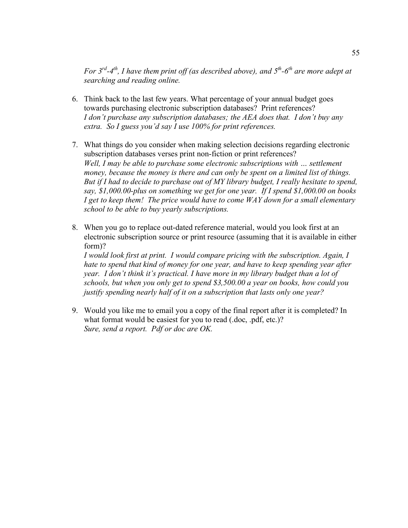*For*  $3^{rd} - 4^{th}$ *, I have them print off (as described above), and*  $5^{th} - 6^{th}$  *are more adept at searching and reading online.*

- 6. Think back to the last few years. What percentage of your annual budget goes towards purchasing electronic subscription databases? Print references? *I don't purchase any subscription databases; the AEA does that. I don't buy any extra. So I guess you'd say I use 100% for print references.*
- 7. What things do you consider when making selection decisions regarding electronic subscription databases verses print non-fiction or print references? *Well, I may be able to purchase some electronic subscriptions with … settlement money, because the money is there and can only be spent on a limited list of things. But if I had to decide to purchase out of MY library budget, I really hesitate to spend, say, \$1,000.00-plus on something we get for one year. If I spend \$1,000.00 on books I get to keep them! The price would have to come WAY down for a small elementary school to be able to buy yearly subscriptions.*
- 8. When you go to replace out-dated reference material, would you look first at an electronic subscription source or print resource (assuming that it is available in either form)?

*I would look first at print. I would compare pricing with the subscription. Again, I hate to spend that kind of money for one year, and have to keep spending year after year. I don't think it's practical. I have more in my library budget than a lot of schools, but when you only get to spend \$3,500.00 a year on books, how could you justify spending nearly half of it on a subscription that lasts only one year?*

9. Would you like me to email you a copy of the final report after it is completed? In what format would be easiest for you to read (.doc, .pdf, etc.)? *Sure, send a report. Pdf or doc are OK.*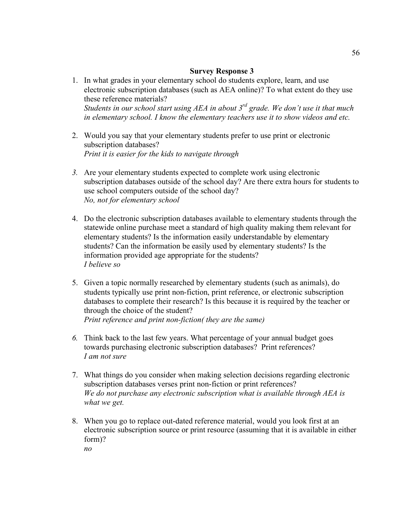- 1. In what grades in your elementary school do students explore, learn, and use electronic subscription databases (such as AEA online)? To what extent do they use these reference materials? *Students in our school start using AEA in about 3rd grade. We don't use it that much in elementary school. I know the elementary teachers use it to show videos and etc.*
- 2. Would you say that your elementary students prefer to use print or electronic subscription databases? *Print it is easier for the kids to navigate through*
- *3.* Are your elementary students expected to complete work using electronic subscription databases outside of the school day? Are there extra hours for students to use school computers outside of the school day? *No, not for elementary school*
- 4. Do the electronic subscription databases available to elementary students through the statewide online purchase meet a standard of high quality making them relevant for elementary students? Is the information easily understandable by elementary students? Can the information be easily used by elementary students? Is the information provided age appropriate for the students? *I believe so*
- 5. Given a topic normally researched by elementary students (such as animals), do students typically use print non-fiction, print reference, or electronic subscription databases to complete their research? Is this because it is required by the teacher or through the choice of the student? *Print reference and print non-fiction( they are the same)*
- *6.* Think back to the last few years. What percentage of your annual budget goes towards purchasing electronic subscription databases? Print references? *I am not sure*
- 7. What things do you consider when making selection decisions regarding electronic subscription databases verses print non-fiction or print references? *We do not purchase any electronic subscription what is available through AEA is what we get.*
- 8. When you go to replace out-dated reference material, would you look first at an electronic subscription source or print resource (assuming that it is available in either form)? *no*

56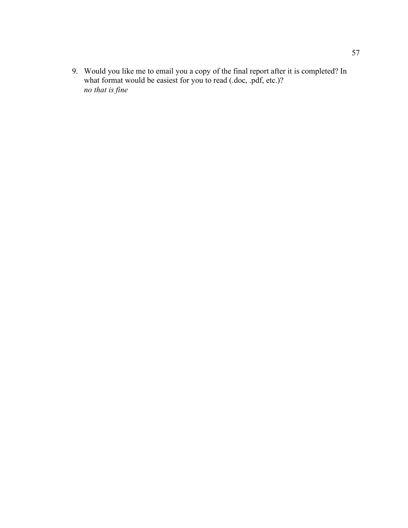9. Would you like me to email you a copy of the final report after it is completed? In what format would be easiest for you to read (.doc, .pdf, etc.)? *no that is fine*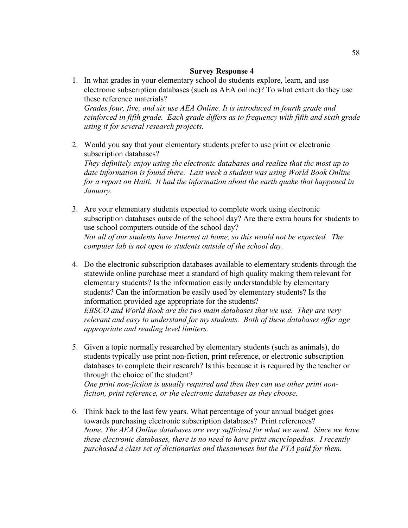- 1. In what grades in your elementary school do students explore, learn, and use electronic subscription databases (such as AEA online)? To what extent do they use these reference materials? *Grades four, five, and six use AEA Online. It is introduced in fourth grade and reinforced in fifth grade. Each grade differs as to frequency with fifth and sixth grade using it for several research projects.*
- 2. Would you say that your elementary students prefer to use print or electronic subscription databases? *They definitely enjoy using the electronic databases and realize that the most up to date information is found there. Last week a student was using World Book Online for a report on Haiti. It had the information about the earth quake that happened in January.*
- 3. Are your elementary students expected to complete work using electronic subscription databases outside of the school day? Are there extra hours for students to use school computers outside of the school day? *Not all of our students have Internet at home, so this would not be expected. The computer lab is not open to students outside of the school day.*
- 4. Do the electronic subscription databases available to elementary students through the statewide online purchase meet a standard of high quality making them relevant for elementary students? Is the information easily understandable by elementary students? Can the information be easily used by elementary students? Is the information provided age appropriate for the students? *EBSCO and World Book are the two main databases that we use. They are very relevant and easy to understand for my students. Both of these databases offer age appropriate and reading level limiters.*
- 5. Given a topic normally researched by elementary students (such as animals), do students typically use print non-fiction, print reference, or electronic subscription databases to complete their research? Is this because it is required by the teacher or through the choice of the student? *One print non-fiction is usually required and then they can use other print nonfiction, print reference, or the electronic databases as they choose.*
- 6. Think back to the last few years. What percentage of your annual budget goes towards purchasing electronic subscription databases? Print references? *None. The AEA Online databases are very sufficient for what we need. Since we have these electronic databases, there is no need to have print encyclopedias. I recently purchased a class set of dictionaries and thesauruses but the PTA paid for them.*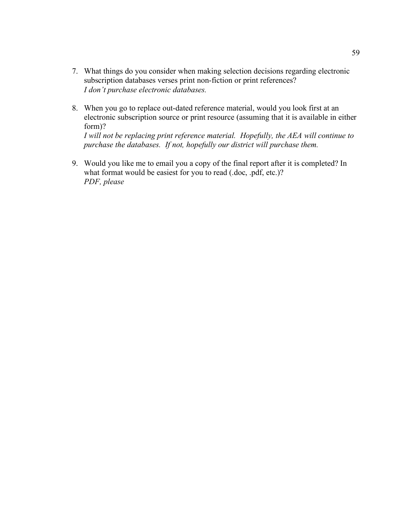- 7. What things do you consider when making selection decisions regarding electronic subscription databases verses print non-fiction or print references? *I don't purchase electronic databases.*
- 8. When you go to replace out-dated reference material, would you look first at an electronic subscription source or print resource (assuming that it is available in either form)?

*I will not be replacing print reference material. Hopefully, the AEA will continue to purchase the databases. If not, hopefully our district will purchase them.*

9. Would you like me to email you a copy of the final report after it is completed? In what format would be easiest for you to read (.doc, .pdf, etc.)? *PDF, please*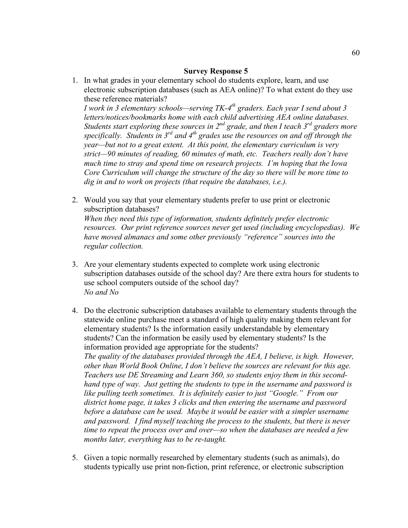1. In what grades in your elementary school do students explore, learn, and use electronic subscription databases (such as AEA online)? To what extent do they use these reference materials?

*I* work in 3 elementary schools—serving TK-4<sup>th</sup> graders. Each year I send about 3 *letters/notices/bookmarks home with each child advertising AEA online databases. Students start exploring these sources in 2nd grade, and then I teach 3rd graders more specifically. Students in 3<sup>rd</sup> and 4<sup>th</sup> grades use the resources on and off through the year—but not to a great extent. At this point, the elementary curriculum is very strict—90 minutes of reading, 60 minutes of math, etc. Teachers really don't have much time to stray and spend time on research projects. I'm hoping that the Iowa Core Curriculum will change the structure of the day so there will be more time to dig in and to work on projects (that require the databases, i.e.).* 

- 2. Would you say that your elementary students prefer to use print or electronic subscription databases? *When they need this type of information, students definitely prefer electronic resources. Our print reference sources never get used (including encyclopedias). We have moved almanacs and some other previously "reference" sources into the regular collection.*
- 3. Are your elementary students expected to complete work using electronic subscription databases outside of the school day? Are there extra hours for students to use school computers outside of the school day? *No and No*
- 4. Do the electronic subscription databases available to elementary students through the statewide online purchase meet a standard of high quality making them relevant for elementary students? Is the information easily understandable by elementary students? Can the information be easily used by elementary students? Is the information provided age appropriate for the students? *The quality of the databases provided through the AEA, I believe, is high. However, other than World Book Online, I don't believe the sources are relevant for this age. Teachers use DE Streaming and Learn 360, so students enjoy them in this secondhand type of way. Just getting the students to type in the username and password is like pulling teeth sometimes. It is definitely easier to just "Google." From our district home page, it takes 3 clicks and then entering the username and password before a database can be used. Maybe it would be easier with a simpler username and password. I find myself teaching the process to the students, but there is never time to repeat the process over and over—so when the databases are needed a few months later, everything has to be re-taught.*
- 5. Given a topic normally researched by elementary students (such as animals), do students typically use print non-fiction, print reference, or electronic subscription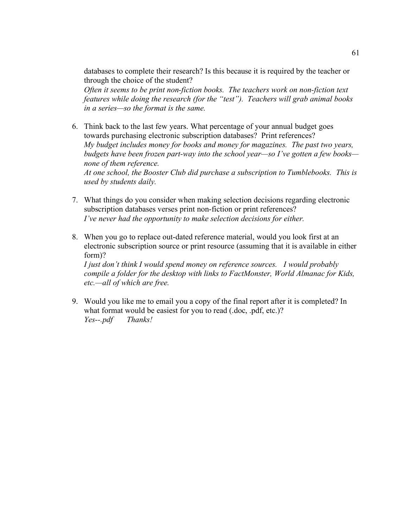databases to complete their research? Is this because it is required by the teacher or through the choice of the student?

*Often it seems to be print non-fiction books. The teachers work on non-fiction text features while doing the research (for the "test"). Teachers will grab animal books in a series—so the format is the same.* 

- 6. Think back to the last few years. What percentage of your annual budget goes towards purchasing electronic subscription databases? Print references? *My budget includes money for books and money for magazines. The past two years, budgets have been frozen part-way into the school year—so I've gotten a few books none of them reference. At one school, the Booster Club did purchase a subscription to Tumblebooks. This is used by students daily.*
- 7. What things do you consider when making selection decisions regarding electronic subscription databases verses print non-fiction or print references? *I've never had the opportunity to make selection decisions for either.*
- 8. When you go to replace out-dated reference material, would you look first at an electronic subscription source or print resource (assuming that it is available in either form)?

*I just don't think I would spend money on reference sources. I would probably compile a folder for the desktop with links to FactMonster, World Almanac for Kids, etc.—all of which are free.*

9. Would you like me to email you a copy of the final report after it is completed? In what format would be easiest for you to read (.doc, .pdf, etc.)? *Yes--.pdf Thanks!*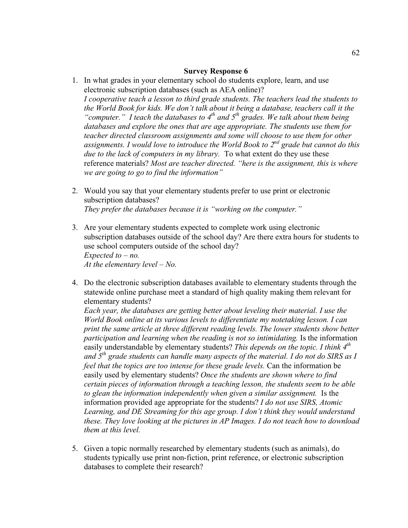- 1. In what grades in your elementary school do students explore, learn, and use electronic subscription databases (such as AEA online)? *I cooperative teach a lesson to third grade students. The teachers lead the students to the World Book for kids. We don't talk about it being a database, teachers call it the*  "computer." I teach the databases to 4<sup>th</sup> and 5<sup>th</sup> grades. We talk about them being *databases and explore the ones that are age appropriate. The students use them for teacher directed classroom assignments and some will choose to use them for other assignments. I would love to introduce the World Book to 2nd grade but cannot do this due to the lack of computers in my library.* To what extent do they use these reference materials? *Most are teacher directed. "here is the assignment, this is where we are going to go to find the information"*
- 2. Would you say that your elementary students prefer to use print or electronic subscription databases? *They prefer the databases because it is "working on the computer."*
- 3. Are your elementary students expected to complete work using electronic subscription databases outside of the school day? Are there extra hours for students to use school computers outside of the school day? *Expected to – no. At the elementary level – No.*
- 4. Do the electronic subscription databases available to elementary students through the statewide online purchase meet a standard of high quality making them relevant for elementary students?

*Each year, the databases are getting better about leveling their material. I use the World Book online at its various levels to differentiate my notetaking lesson. I can print the same article at three different reading levels. The lower students show better participation and learning when the reading is not so intimidating.* Is the information easily understandable by elementary students? *This depends on the topic. I think 4th and 5th grade students can handle many aspects of the material. I do not do SIRS as I feel that the topics are too intense for these grade levels.* Can the information be easily used by elementary students? *Once the students are shown where to find certain pieces of information through a teaching lesson, the students seem to be able to glean the information independently when given a similar assignment.* Is the information provided age appropriate for the students? *I do not use SIRS, Atomic Learning, and DE Streaming for this age group. I don't think they would understand these. They love looking at the pictures in AP Images. I do not teach how to download them at this level.* 

5. Given a topic normally researched by elementary students (such as animals), do students typically use print non-fiction, print reference, or electronic subscription databases to complete their research?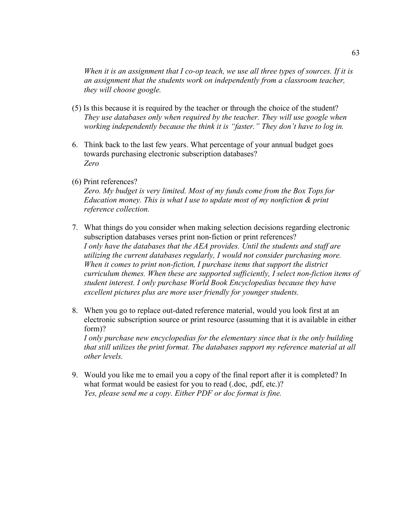*When it is an assignment that I co-op teach, we use all three types of sources. If it is an assignment that the students work on independently from a classroom teacher, they will choose google.*

- (5) Is this because it is required by the teacher or through the choice of the student? *They use databases only when required by the teacher. They will use google when working independently because the think it is "faster." They don't have to log in.*
- 6. Think back to the last few years. What percentage of your annual budget goes towards purchasing electronic subscription databases? *Zero*
- (6) Print references?

*Zero. My budget is very limited. Most of my funds come from the Box Tops for Education money. This is what I use to update most of my nonfiction & print reference collection.* 

- 7. What things do you consider when making selection decisions regarding electronic subscription databases verses print non-fiction or print references? *I only have the databases that the AEA provides. Until the students and staff are utilizing the current databases regularly, I would not consider purchasing more. When it comes to print non-fiction, I purchase items that support the district curriculum themes. When these are supported sufficiently, I select non-fiction items of student interest. I only purchase World Book Encyclopedias because they have excellent pictures plus are more user friendly for younger students.*
- 8. When you go to replace out-dated reference material, would you look first at an electronic subscription source or print resource (assuming that it is available in either form)? *I only purchase new encyclopedias for the elementary since that is the only building*

*that still utilizes the print format. The databases support my reference material at all other levels.* 

9. Would you like me to email you a copy of the final report after it is completed? In what format would be easiest for you to read (.doc, .pdf, etc.)? *Yes, please send me a copy. Either PDF or doc format is fine.*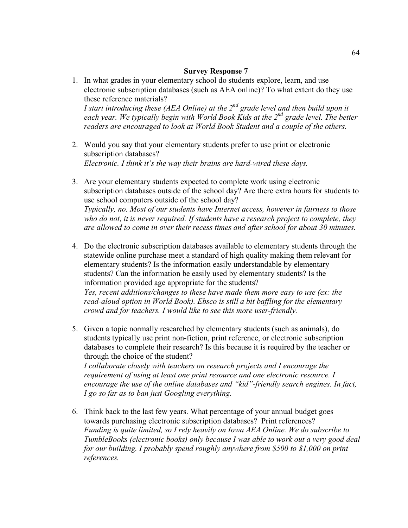- 1. In what grades in your elementary school do students explore, learn, and use electronic subscription databases (such as AEA online)? To what extent do they use these reference materials? *I start introducing these (AEA Online) at the 2<sup>nd</sup> grade level and then build upon it* each year. We typically begin with World Book Kids at the 2<sup>nd</sup> grade level. The better *readers are encouraged to look at World Book Student and a couple of the others.*
- 2. Would you say that your elementary students prefer to use print or electronic subscription databases? *Electronic. I think it's the way their brains are hard-wired these days.*
- 3. Are your elementary students expected to complete work using electronic subscription databases outside of the school day? Are there extra hours for students to use school computers outside of the school day? *Typically, no. Most of our students have Internet access, however in fairness to those who do not, it is never required. If students have a research project to complete, they are allowed to come in over their recess times and after school for about 30 minutes.*
- 4. Do the electronic subscription databases available to elementary students through the statewide online purchase meet a standard of high quality making them relevant for elementary students? Is the information easily understandable by elementary students? Can the information be easily used by elementary students? Is the information provided age appropriate for the students? *Yes, recent additions/changes to these have made them more easy to use (ex: the read-aloud option in World Book). Ebsco is still a bit baffling for the elementary crowd and for teachers. I would like to see this more user-friendly.*
- 5. Given a topic normally researched by elementary students (such as animals), do students typically use print non-fiction, print reference, or electronic subscription databases to complete their research? Is this because it is required by the teacher or through the choice of the student? *I collaborate closely with teachers on research projects and I encourage the*

*requirement of using at least one print resource and one electronic resource. I encourage the use of the online databases and "kid"-friendly search engines. In fact, I go so far as to ban just Googling everything.*

6. Think back to the last few years. What percentage of your annual budget goes towards purchasing electronic subscription databases? Print references? *Funding is quite limited, so I rely heavily on Iowa AEA Online. We do subscribe to TumbleBooks (electronic books) only because I was able to work out a very good deal for our building. I probably spend roughly anywhere from \$500 to \$1,000 on print references.*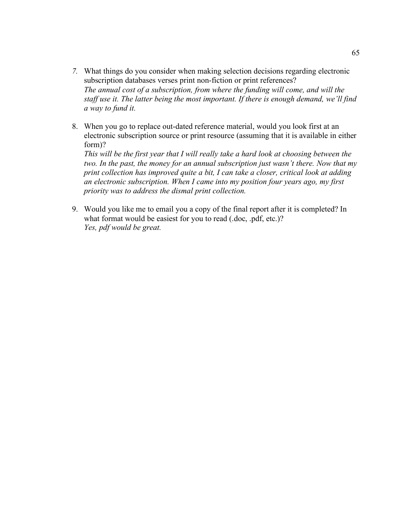- *7.* What things do you consider when making selection decisions regarding electronic subscription databases verses print non-fiction or print references? *The annual cost of a subscription, from where the funding will come, and will the staff use it. The latter being the most important. If there is enough demand, we'll find a way to fund it.*
- 8. When you go to replace out-dated reference material, would you look first at an electronic subscription source or print resource (assuming that it is available in either form)?

*This will be the first year that I will really take a hard look at choosing between the two. In the past, the money for an annual subscription just wasn't there. Now that my print collection has improved quite a bit, I can take a closer, critical look at adding an electronic subscription. When I came into my position four years ago, my first priority was to address the dismal print collection.*

9. Would you like me to email you a copy of the final report after it is completed? In what format would be easiest for you to read (.doc, .pdf, etc.)? *Yes, pdf would be great.*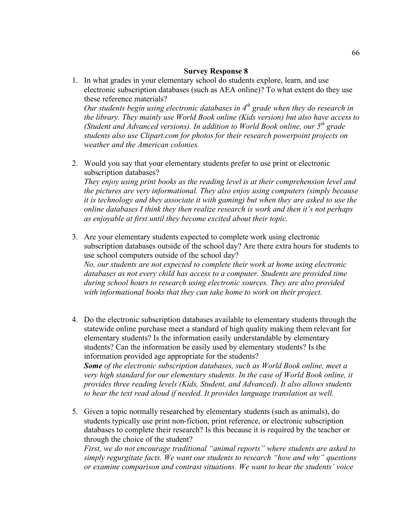1. In what grades in your elementary school do students explore, learn, and use electronic subscription databases (such as AEA online)? To what extent do they use these reference materials?

*Our students begin using electronic databases in 4<sup>th</sup> grade when they do research in the library. They mainly use World Book online (Kids version) but also have access to (Student and Advanced versions). In addition to World Book online, our 5th grade students also use Clipart.com for photos for their research powerpoint projects on weather and the American colonies.*

2. Would you say that your elementary students prefer to use print or electronic subscription databases?

*They enjoy using print books as the reading level is at their comprehension level and the pictures are very informational. They also enjoy using computers (simply because it is technology and they associate it with gaming) but when they are asked to use the online databases I think they then realize research is work and then it's not perhaps as enjoyable at first until they become excited about their topic.*

- 3. Are your elementary students expected to complete work using electronic subscription databases outside of the school day? Are there extra hours for students to use school computers outside of the school day? *No, our students are not expected to complete their work at home using electronic databases as not every child has access to a computer. Students are provided time during school hours to research using electronic sources. They are also provided with informational books that they can take home to work on their project.*
- 4. Do the electronic subscription databases available to elementary students through the statewide online purchase meet a standard of high quality making them relevant for elementary students? Is the information easily understandable by elementary students? Can the information be easily used by elementary students? Is the information provided age appropriate for the students? *Some of the electronic subscription databases, such as World Book online, meet a very high standard for our elementary students. In the case of World Book online, it provides three reading levels (Kids, Student, and Advanced). It also allows students to hear the text read aloud if needed. It provides language translation as well.*
- 5. Given a topic normally researched by elementary students (such as animals), do students typically use print non-fiction, print reference, or electronic subscription databases to complete their research? Is this because it is required by the teacher or through the choice of the student?

*First, we do not encourage traditional "animal reports" where students are asked to simply regurgitate facts. We want our students to research "how and why" questions or examine comparison and contrast situations. We want to hear the students' voice*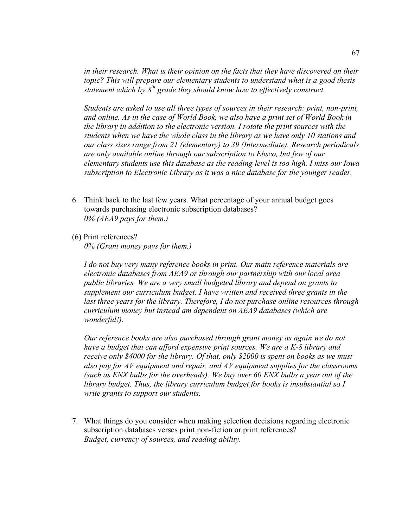*in their research. What is their opinion on the facts that they have discovered on their topic? This will prepare our elementary students to understand what is a good thesis statement which by 8th grade they should know how to effectively construct.*

*Students are asked to use all three types of sources in their research: print, non-print, and online. As in the case of World Book, we also have a print set of World Book in the library in addition to the electronic version. I rotate the print sources with the students when we have the whole class in the library as we have only 10 stations and our class sizes range from 21 (elementary) to 39 (Intermediate). Research periodicals are only available online through our subscription to Ebsco, but few of our elementary students use this database as the reading level is too high. I miss our Iowa subscription to Electronic Library as it was a nice database for the younger reader.*

- 6. Think back to the last few years. What percentage of your annual budget goes towards purchasing electronic subscription databases? *0% (AEA9 pays for them.)*
- (6) Print references?

*0% (Grant money pays for them.)*

*I do not buy very many reference books in print. Our main reference materials are electronic databases from AEA9 or through our partnership with our local area public libraries. We are a very small budgeted library and depend on grants to supplement our curriculum budget. I have written and received three grants in the last three years for the library. Therefore, I do not purchase online resources through curriculum money but instead am dependent on AEA9 databases (which are wonderful!).* 

*Our reference books are also purchased through grant money as again we do not have a budget that can afford expensive print sources. We are a K-8 library and receive only \$4000 for the library. Of that, only \$2000 is spent on books as we must also pay for AV equipment and repair, and AV equipment supplies for the classrooms (such as ENX bulbs for the overheads). We buy over 60 ENX bulbs a year out of the library budget. Thus, the library curriculum budget for books is insubstantial so I write grants to support our students.*

7. What things do you consider when making selection decisions regarding electronic subscription databases verses print non-fiction or print references? *Budget, currency of sources, and reading ability.*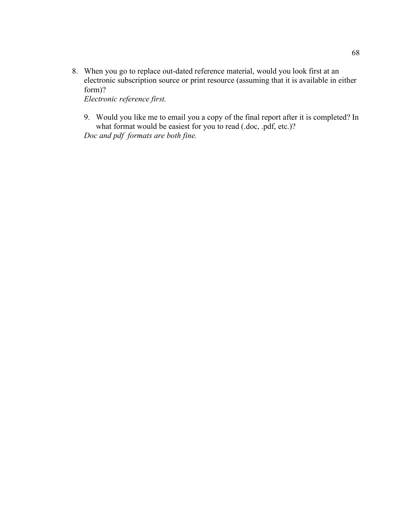8. When you go to replace out-dated reference material, would you look first at an electronic subscription source or print resource (assuming that it is available in either form)?

*Electronic reference first.*

9. Would you like me to email you a copy of the final report after it is completed? In what format would be easiest for you to read (.doc, .pdf, etc.)?

*Doc and pdf formats are both fine.*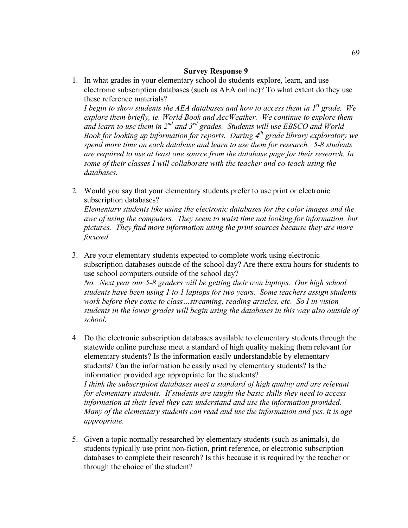1. In what grades in your elementary school do students explore, learn, and use electronic subscription databases (such as AEA online)? To what extent do they use these reference materials?

*I begin to show students the AEA databases and how to access them in 1<sup>st</sup> grade. We explore them briefly, ie. World Book and AccWeather. We continue to explore them and learn to use them in 2nd and 3rd grades. Students will use EBSCO and World Book for looking up information for reports. During 4<sup>th</sup> grade library exploratory we spend more time on each database and learn to use them for research. 5-8 students are required to use at least one source from the database page for their research. In some of their classes I will collaborate with the teacher and co-teach using the databases.* 

2. Would you say that your elementary students prefer to use print or electronic subscription databases?

*Elementary students like using the electronic databases for the color images and the awe of using the computers. They seem to waist time not looking for information, but pictures. They find more information using the print sources because they are more focused.*

- 3. Are your elementary students expected to complete work using electronic subscription databases outside of the school day? Are there extra hours for students to use school computers outside of the school day? *No. Next year our 5-8 graders will be getting their own laptops. Our high school students have been using 1 to 1 laptops for two years. Some teachers assign students work before they come to class…streaming, reading articles, etc. So I in-vision students in the lower grades will begin using the databases in this way also outside of school.*
- 4. Do the electronic subscription databases available to elementary students through the statewide online purchase meet a standard of high quality making them relevant for elementary students? Is the information easily understandable by elementary students? Can the information be easily used by elementary students? Is the information provided age appropriate for the students? *I think the subscription databases meet a standard of high quality and are relevant for elementary students. If students are taught the basic skills they need to access information at their level they can understand and use the information provided. Many of the elementary students can read and use the information and yes, it is age appropriate.*
- 5. Given a topic normally researched by elementary students (such as animals), do students typically use print non-fiction, print reference, or electronic subscription databases to complete their research? Is this because it is required by the teacher or through the choice of the student?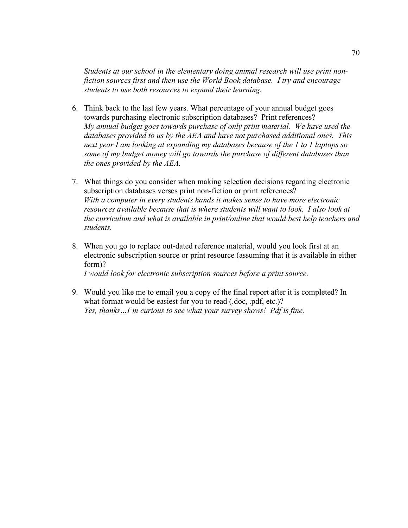*Students at our school in the elementary doing animal research will use print nonfiction sources first and then use the World Book database. I try and encourage students to use both resources to expand their learning.*

- 6. Think back to the last few years. What percentage of your annual budget goes towards purchasing electronic subscription databases? Print references? *My annual budget goes towards purchase of only print material. We have used the databases provided to us by the AEA and have not purchased additional ones. This next year I am looking at expanding my databases because of the 1 to 1 laptops so some of my budget money will go towards the purchase of different databases than the ones provided by the AEA.*
- 7. What things do you consider when making selection decisions regarding electronic subscription databases verses print non-fiction or print references? *With a computer in every students hands it makes sense to have more electronic resources available because that is where students will want to look. I also look at the curriculum and what is available in print/online that would best help teachers and students.*
- 8. When you go to replace out-dated reference material, would you look first at an electronic subscription source or print resource (assuming that it is available in either form)?

*I would look for electronic subscription sources before a print source.*

9. Would you like me to email you a copy of the final report after it is completed? In what format would be easiest for you to read (.doc, .pdf, etc.)? *Yes, thanks…I'm curious to see what your survey shows! Pdf is fine.*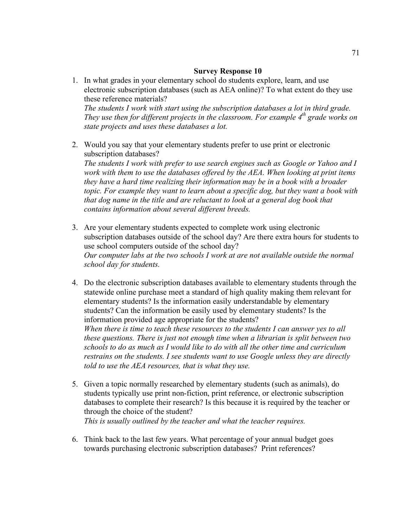- 1. In what grades in your elementary school do students explore, learn, and use electronic subscription databases (such as AEA online)? To what extent do they use these reference materials? *The students I work with start using the subscription databases a lot in third grade. They use then for different projects in the classroom. For example 4<sup>th</sup> grade works on state projects and uses these databases a lot.*
- 2. Would you say that your elementary students prefer to use print or electronic subscription databases?

*The students I work with prefer to use search engines such as Google or Yahoo and I work with them to use the databases offered by the AEA. When looking at print items they have a hard time realizing their information may be in a book with a broader topic. For example they want to learn about a specific dog, but they want a book with that dog name in the title and are reluctant to look at a general dog book that contains information about several different breeds.*

- 3. Are your elementary students expected to complete work using electronic subscription databases outside of the school day? Are there extra hours for students to use school computers outside of the school day? *Our computer labs at the two schools I work at are not available outside the normal school day for students.*
- 4. Do the electronic subscription databases available to elementary students through the statewide online purchase meet a standard of high quality making them relevant for elementary students? Is the information easily understandable by elementary students? Can the information be easily used by elementary students? Is the information provided age appropriate for the students? *When there is time to teach these resources to the students I can answer yes to all these questions. There is just not enough time when a librarian is split between two schools to do as much as I would like to do with all the other time and curriculum restrains on the students. I see students want to use Google unless they are directly told to use the AEA resources, that is what they use.*
- 5. Given a topic normally researched by elementary students (such as animals), do students typically use print non-fiction, print reference, or electronic subscription databases to complete their research? Is this because it is required by the teacher or through the choice of the student? *This is usually outlined by the teacher and what the teacher requires.*
- 6. Think back to the last few years. What percentage of your annual budget goes towards purchasing electronic subscription databases? Print references?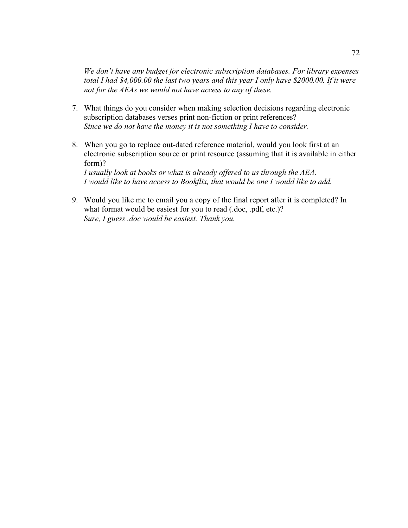*We don't have any budget for electronic subscription databases. For library expenses total I had \$4,000.00 the last two years and this year I only have \$2000.00. If it were not for the AEAs we would not have access to any of these.*

- 7. What things do you consider when making selection decisions regarding electronic subscription databases verses print non-fiction or print references? *Since we do not have the money it is not something I have to consider.*
- 8. When you go to replace out-dated reference material, would you look first at an electronic subscription source or print resource (assuming that it is available in either form)? *I usually look at books or what is already offered to us through the AEA. I would like to have access to Bookflix, that would be one I would like to add.*
- 9. Would you like me to email you a copy of the final report after it is completed? In what format would be easiest for you to read (.doc, .pdf, etc.)? *Sure, I guess .doc would be easiest. Thank you.*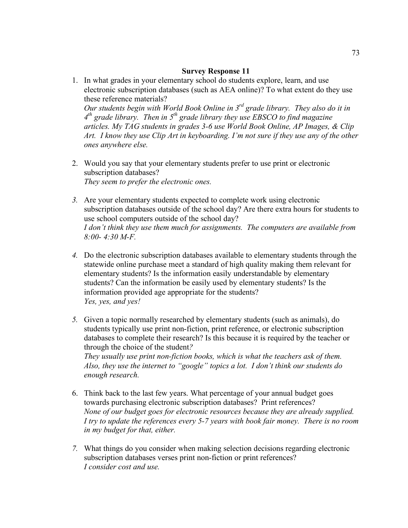1. In what grades in your elementary school do students explore, learn, and use electronic subscription databases (such as AEA online)? To what extent do they use these reference materials?

*Our students begin with World Book Online in 3rd grade library. They also do it in 4th grade library. Then in 5th grade library they use EBSCO to find magazine articles. My TAG students in grades 3-6 use World Book Online, AP Images, & Clip Art. I know they use Clip Art in keyboarding. I'm not sure if they use any of the other ones anywhere else.* 

- 2. Would you say that your elementary students prefer to use print or electronic subscription databases? *They seem to prefer the electronic ones.*
- *3.* Are your elementary students expected to complete work using electronic subscription databases outside of the school day? Are there extra hours for students to use school computers outside of the school day? *I don't think they use them much for assignments. The computers are available from 8:00- 4:30 M-F.*
- *4.* Do the electronic subscription databases available to elementary students through the statewide online purchase meet a standard of high quality making them relevant for elementary students? Is the information easily understandable by elementary students? Can the information be easily used by elementary students? Is the information provided age appropriate for the students? *Yes, yes, and yes!*
- *5.* Given a topic normally researched by elementary students (such as animals), do students typically use print non-fiction, print reference, or electronic subscription databases to complete their research? Is this because it is required by the teacher or through the choice of the student*? They usually use print non-fiction books, which is what the teachers ask of them. Also, they use the internet to "google" topics a lot. I don't think our students do enough research.*
- 6. Think back to the last few years. What percentage of your annual budget goes towards purchasing electronic subscription databases? Print references? *None of our budget goes for electronic resources because they are already supplied. I try to update the references every 5-7 years with book fair money. There is no room in my budget for that, either.*
- *7.* What things do you consider when making selection decisions regarding electronic subscription databases verses print non-fiction or print references? *I consider cost and use.*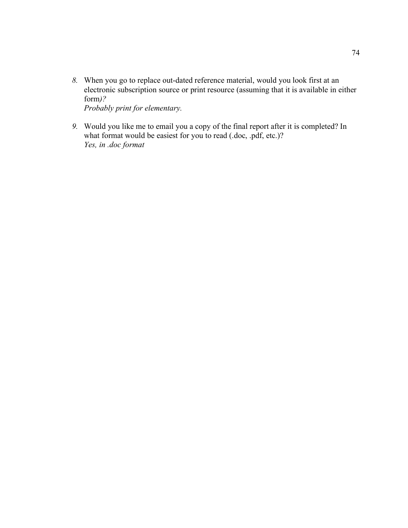- *8.* When you go to replace out-dated reference material, would you look first at an electronic subscription source or print resource (assuming that it is available in either form*)? Probably print for elementary.*
- *9.* Would you like me to email you a copy of the final report after it is completed? In what format would be easiest for you to read (.doc, .pdf, etc.)? *Yes, in .doc format*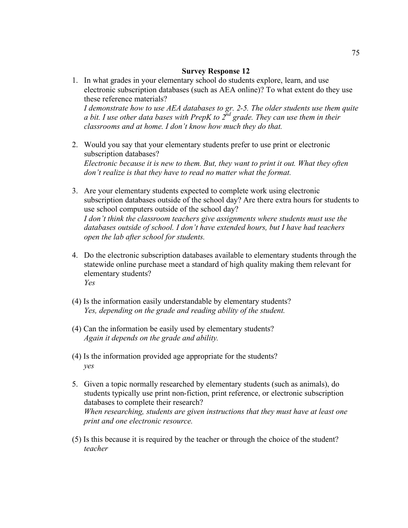- 1. In what grades in your elementary school do students explore, learn, and use electronic subscription databases (such as AEA online)? To what extent do they use these reference materials? *I demonstrate how to use AEA databases to gr. 2-5. The older students use them quite a bit. I use other data bases with PrepK to 2nd grade. They can use them in their classrooms and at home. I don't know how much they do that.*
- 2. Would you say that your elementary students prefer to use print or electronic subscription databases? *Electronic because it is new to them. But, they want to print it out. What they often don't realize is that they have to read no matter what the format.*
- 3. Are your elementary students expected to complete work using electronic subscription databases outside of the school day? Are there extra hours for students to use school computers outside of the school day? *I don't think the classroom teachers give assignments where students must use the databases outside of school. I don't have extended hours, but I have had teachers open the lab after school for students.*
- 4. Do the electronic subscription databases available to elementary students through the statewide online purchase meet a standard of high quality making them relevant for elementary students? *Yes*
- (4) Is the information easily understandable by elementary students? *Yes, depending on the grade and reading ability of the student.*
- (4) Can the information be easily used by elementary students? *Again it depends on the grade and ability.*
- (4) Is the information provided age appropriate for the students? *yes*
- 5. Given a topic normally researched by elementary students (such as animals), do students typically use print non-fiction, print reference, or electronic subscription databases to complete their research? *When researching, students are given instructions that they must have at least one print and one electronic resource.*
- (5) Is this because it is required by the teacher or through the choice of the student? *teacher*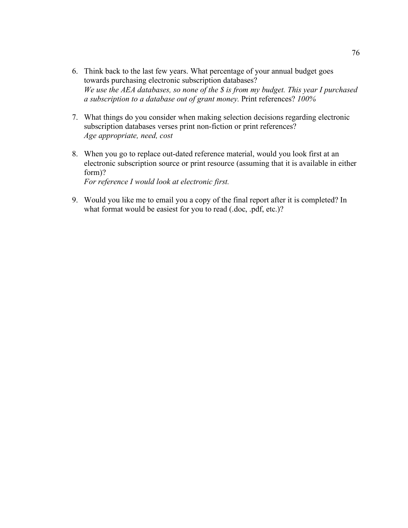- 6. Think back to the last few years. What percentage of your annual budget goes towards purchasing electronic subscription databases? *We use the AEA databases, so none of the \$ is from my budget. This year I purchased a subscription to a database out of grant money.* Print references? *100%*
- 7. What things do you consider when making selection decisions regarding electronic subscription databases verses print non-fiction or print references? *Age appropriate, need, cost*
- 8. When you go to replace out-dated reference material, would you look first at an electronic subscription source or print resource (assuming that it is available in either form)? *For reference I would look at electronic first.*

9. Would you like me to email you a copy of the final report after it is completed? In what format would be easiest for you to read (.doc, .pdf, etc.)?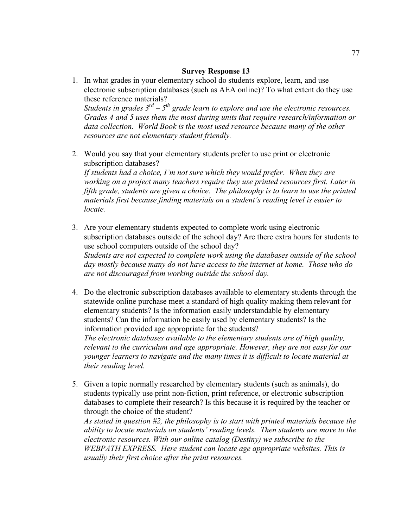1. In what grades in your elementary school do students explore, learn, and use electronic subscription databases (such as AEA online)? To what extent do they use these reference materials?

*Students in grades 3rd – 5th grade learn to explore and use the electronic resources. Grades 4 and 5 uses them the most during units that require research/information or data collection. World Book is the most used resource because many of the other resources are not elementary student friendly.*

2. Would you say that your elementary students prefer to use print or electronic subscription databases? *If students had a choice, I'm not sure which they would prefer. When they are* 

*working on a project many teachers require they use printed resources first. Later in fifth grade, students are given a choice. The philosophy is to learn to use the printed materials first because finding materials on a student's reading level is easier to locate.*

- 3. Are your elementary students expected to complete work using electronic subscription databases outside of the school day? Are there extra hours for students to use school computers outside of the school day? *Students are not expected to complete work using the databases outside of the school day mostly because many do not have access to the internet at home. Those who do are not discouraged from working outside the school day.*
- 4. Do the electronic subscription databases available to elementary students through the statewide online purchase meet a standard of high quality making them relevant for elementary students? Is the information easily understandable by elementary students? Can the information be easily used by elementary students? Is the information provided age appropriate for the students? *The electronic databases available to the elementary students are of high quality, relevant to the curriculum and age appropriate. However, they are not easy for our younger learners to navigate and the many times it is difficult to locate material at their reading level.*
- 5. Given a topic normally researched by elementary students (such as animals), do students typically use print non-fiction, print reference, or electronic subscription databases to complete their research? Is this because it is required by the teacher or through the choice of the student?

*As stated in question #2, the philosophy is to start with printed materials because the ability to locate materials on students' reading levels. Then students are move to the electronic resources. With our online catalog (Destiny) we subscribe to the WEBPATH EXPRESS. Here student can locate age appropriate websites. This is usually their first choice after the print resources.*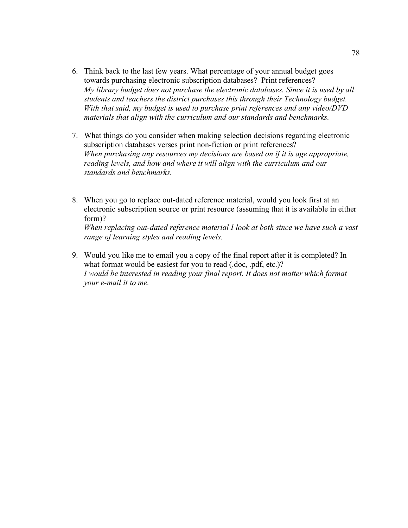- 6. Think back to the last few years. What percentage of your annual budget goes towards purchasing electronic subscription databases? Print references? *My library budget does not purchase the electronic databases. Since it is used by all students and teachers the district purchases this through their Technology budget. With that said, my budget is used to purchase print references and any video/DVD materials that align with the curriculum and our standards and benchmarks.*
- 7. What things do you consider when making selection decisions regarding electronic subscription databases verses print non-fiction or print references? *When purchasing any resources my decisions are based on if it is age appropriate, reading levels, and how and where it will align with the curriculum and our standards and benchmarks.*
- 8. When you go to replace out-dated reference material, would you look first at an electronic subscription source or print resource (assuming that it is available in either form)? *When replacing out-dated reference material I look at both since we have such a vast range of learning styles and reading levels.*
- 9. Would you like me to email you a copy of the final report after it is completed? In what format would be easiest for you to read (.doc, .pdf, etc.)? *I would be interested in reading your final report. It does not matter which format your e-mail it to me.*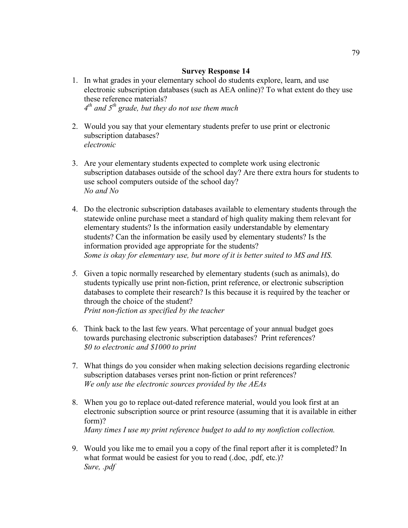- 1. In what grades in your elementary school do students explore, learn, and use electronic subscription databases (such as AEA online)? To what extent do they use these reference materials? *4th and 5th grade, but they do not use them much*
- 2. Would you say that your elementary students prefer to use print or electronic subscription databases? *electronic*
- 3. Are your elementary students expected to complete work using electronic subscription databases outside of the school day? Are there extra hours for students to use school computers outside of the school day? *No and No*
- 4. Do the electronic subscription databases available to elementary students through the statewide online purchase meet a standard of high quality making them relevant for elementary students? Is the information easily understandable by elementary students? Can the information be easily used by elementary students? Is the information provided age appropriate for the students? *Some is okay for elementary use, but more of it is better suited to MS and HS.*
- *5.* Given a topic normally researched by elementary students (such as animals), do students typically use print non-fiction, print reference, or electronic subscription databases to complete their research? Is this because it is required by the teacher or through the choice of the student? *Print non-fiction as specified by the teacher*
- 6. Think back to the last few years. What percentage of your annual budget goes towards purchasing electronic subscription databases? Print references? *\$0 to electronic and \$1000 to print*
- 7. What things do you consider when making selection decisions regarding electronic subscription databases verses print non-fiction or print references? *We only use the electronic sources provided by the AEAs*
- 8. When you go to replace out-dated reference material, would you look first at an electronic subscription source or print resource (assuming that it is available in either form)? *Many times I use my print reference budget to add to my nonfiction collection.*
- 9. Would you like me to email you a copy of the final report after it is completed? In what format would be easiest for you to read (.doc, .pdf, etc.)? *Sure, .pdf*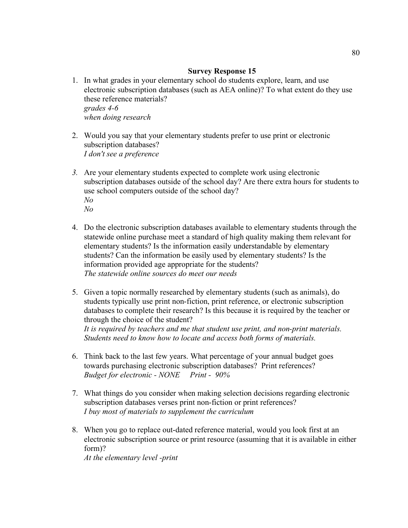- 1. In what grades in your elementary school do students explore, learn, and use electronic subscription databases (such as AEA online)? To what extent do they use these reference materials? *grades 4-6 when doing research*
- 2. Would you say that your elementary students prefer to use print or electronic subscription databases? *I don't see a preference*
- *3.* Are your elementary students expected to complete work using electronic subscription databases outside of the school day? Are there extra hours for students to use school computers outside of the school day? *No No*
- 4. Do the electronic subscription databases available to elementary students through the statewide online purchase meet a standard of high quality making them relevant for elementary students? Is the information easily understandable by elementary students? Can the information be easily used by elementary students? Is the information provided age appropriate for the students? *The statewide online sources do meet our needs*
- 5. Given a topic normally researched by elementary students (such as animals), do students typically use print non-fiction, print reference, or electronic subscription databases to complete their research? Is this because it is required by the teacher or through the choice of the student? *It is required by teachers and me that student use print, and non-print materials. Students need to know how to locate and access both forms of materials.*
- 6. Think back to the last few years. What percentage of your annual budget goes towards purchasing electronic subscription databases? Print references? *Budget for electronic - NONE Print - 90%*
- 7. What things do you consider when making selection decisions regarding electronic subscription databases verses print non-fiction or print references? *I buy most of materials to supplement the curriculum*
- 8. When you go to replace out-dated reference material, would you look first at an electronic subscription source or print resource (assuming that it is available in either form)?

*At the elementary level -print*